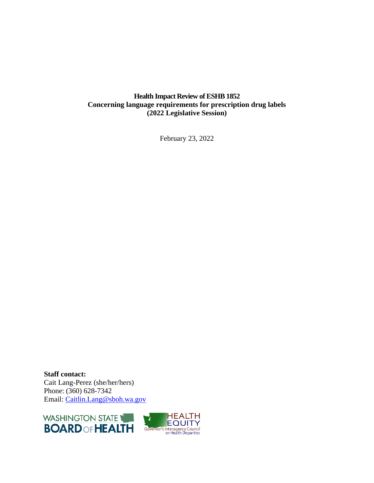### **Health Impact Review of ESHB 1852 Concerning language requirements for prescription drug labels (2022 Legislative Session)**

February 23, 2022

**Staff contact:** Cait Lang-Perez (she/her/hers) Phone: (360) 628-7342 Email: [Caitlin.Lang@sboh.wa.gov](mailto:Caitlin.Lang@sboh.wa.gov)

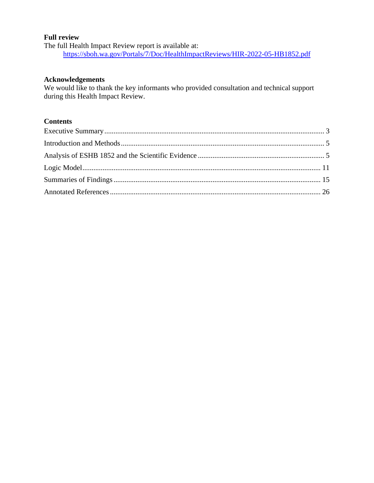#### **Full review**

The full Health Impact Review report is available at: <https://sboh.wa.gov/Portals/7/Doc/HealthImpactReviews/HIR-2022-05-HB1852.pdf>

#### **Acknowledgements**

We would like to thank the key informants who provided consultation and technical support during this Health Impact Review.

## **Contents**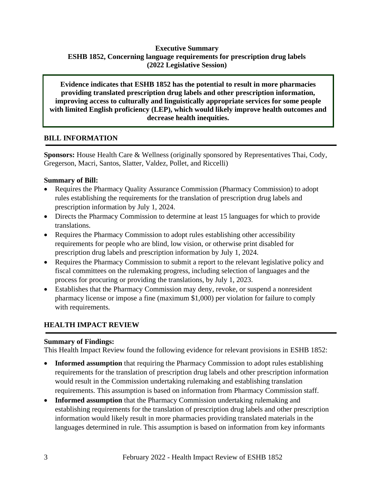## **Executive Summary ESHB 1852, Concerning language requirements for prescription drug labels (2022 Legislative Session)**

**Evidence indicates that ESHB 1852 has the potential to result in more pharmacies providing translated prescription drug labels and other prescription information, improving access to culturally and linguistically appropriate services for some people with limited English proficiency (LEP), which would likely improve health outcomes and decrease health inequities.**

## **BILL INFORMATION**

**Sponsors:** House Health Care & Wellness (originally sponsored by Representatives Thai, Cody, Gregerson, Macri, Santos, Slatter, Valdez, Pollet, and Riccelli)

## **Summary of Bill:**

- Requires the Pharmacy Quality Assurance Commission (Pharmacy Commission) to adopt rules establishing the requirements for the translation of prescription drug labels and prescription information by July 1, 2024.
- Directs the Pharmacy Commission to determine at least 15 languages for which to provide translations.
- Requires the Pharmacy Commission to adopt rules establishing other accessibility requirements for people who are blind, low vision, or otherwise print disabled for prescription drug labels and prescription information by July 1, 2024.
- Requires the Pharmacy Commission to submit a report to the relevant legislative policy and fiscal committees on the rulemaking progress, including selection of languages and the process for procuring or providing the translations, by July 1, 2023.
- Establishes that the Pharmacy Commission may deny, revoke, or suspend a nonresident pharmacy license or impose a fine (maximum \$1,000) per violation for failure to comply with requirements.

## **HEALTH IMPACT REVIEW**

#### **Summary of Findings:**

This Health Impact Review found the following evidence for relevant provisions in ESHB 1852:

- **Informed assumption** that requiring the Pharmacy Commission to adopt rules establishing requirements for the translation of prescription drug labels and other prescription information would result in the Commission undertaking rulemaking and establishing translation requirements. This assumption is based on information from Pharmacy Commission staff.
- **Informed assumption** that the Pharmacy Commission undertaking rulemaking and establishing requirements for the translation of prescription drug labels and other prescription information would likely result in more pharmacies providing translated materials in the languages determined in rule. This assumption is based on information from key informants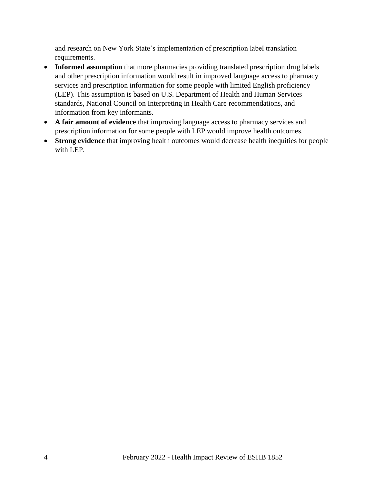and research on New York State's implementation of prescription label translation requirements.

- **Informed assumption** that more pharmacies providing translated prescription drug labels and other prescription information would result in improved language access to pharmacy services and prescription information for some people with limited English proficiency (LEP). This assumption is based on U.S. Department of Health and Human Services standards, National Council on Interpreting in Health Care recommendations, and information from key informants.
- **A fair amount of evidence** that improving language access to pharmacy services and prescription information for some people with LEP would improve health outcomes.
- <span id="page-3-0"></span>• **Strong evidence** that improving health outcomes would decrease health inequities for people with LEP.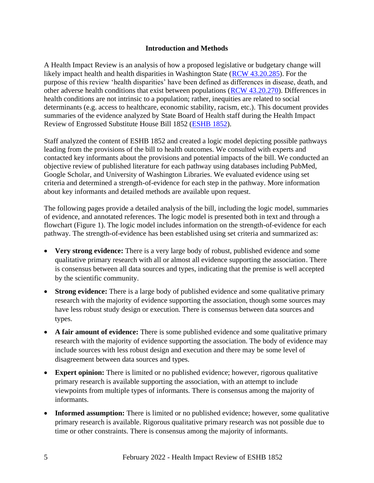#### **Introduction and Methods**

<span id="page-4-0"></span>A Health Impact Review is an analysis of how a proposed legislative or budgetary change will likely impact health and health disparities in Washington State [\(RCW 43.20.285\)](http://apps.leg.wa.gov/rcw/default.aspx?cite=43.20.285). For the purpose of this review 'health disparities' have been defined as differences in disease, death, and other adverse health conditions that exist between populations [\(RCW 43.20.270\)](http://apps.leg.wa.gov/rcw/default.aspx?cite=43.20.270). Differences in health conditions are not intrinsic to a population; rather, inequities are related to social determinants (e.g. access to healthcare, economic stability, racism, etc.). This document provides summaries of the evidence analyzed by State Board of Health staff during the Health Impact Review of Engrossed Substitute House Bill 1852 [\(ESHB 1852\)](https://app.leg.wa.gov/billsummary?BillNumber=1852&Initiative=false&Year=2021).

Staff analyzed the content of ESHB 1852 and created a logic model depicting possible pathways leading from the provisions of the bill to health outcomes. We consulted with experts and contacted key informants about the provisions and potential impacts of the bill. We conducted an objective review of published literature for each pathway using databases including PubMed, Google Scholar, and University of Washington Libraries. We evaluated evidence using set criteria and determined a strength-of-evidence for each step in the pathway. More information about key informants and detailed methods are available upon request.

The following pages provide a detailed analysis of the bill, including the logic model, summaries of evidence, and annotated references. The logic model is presented both in text and through a flowchart (Figure 1). The logic model includes information on the strength-of-evidence for each pathway. The strength-of-evidence has been established using set criteria and summarized as:

- **Very strong evidence:** There is a very large body of robust, published evidence and some qualitative primary research with all or almost all evidence supporting the association. There is consensus between all data sources and types, indicating that the premise is well accepted by the scientific community.
- **Strong evidence:** There is a large body of published evidence and some qualitative primary research with the majority of evidence supporting the association, though some sources may have less robust study design or execution. There is consensus between data sources and types.
- A fair amount of evidence: There is some published evidence and some qualitative primary research with the majority of evidence supporting the association. The body of evidence may include sources with less robust design and execution and there may be some level of disagreement between data sources and types.
- **Expert opinion:** There is limited or no published evidence; however, rigorous qualitative primary research is available supporting the association, with an attempt to include viewpoints from multiple types of informants. There is consensus among the majority of informants.
- **Informed assumption:** There is limited or no published evidence; however, some qualitative primary research is available. Rigorous qualitative primary research was not possible due to time or other constraints. There is consensus among the majority of informants.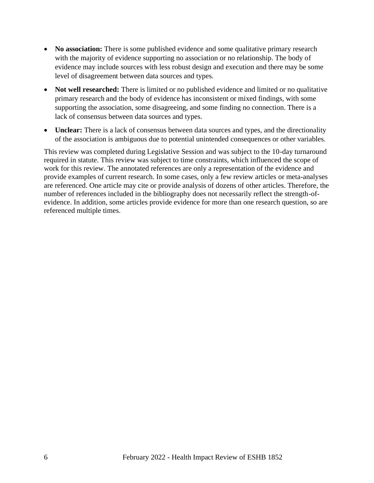- **No association:** There is some published evidence and some qualitative primary research with the majority of evidence supporting no association or no relationship. The body of evidence may include sources with less robust design and execution and there may be some level of disagreement between data sources and types.
- **Not well researched:** There is limited or no published evidence and limited or no qualitative primary research and the body of evidence has inconsistent or mixed findings, with some supporting the association, some disagreeing, and some finding no connection. There is a lack of consensus between data sources and types.
- **Unclear:** There is a lack of consensus between data sources and types, and the directionality of the association is ambiguous due to potential unintended consequences or other variables.

This review was completed during Legislative Session and was subject to the 10-day turnaround required in statute. This review was subject to time constraints, which influenced the scope of work for this review. The annotated references are only a representation of the evidence and provide examples of current research. In some cases, only a few review articles or meta-analyses are referenced. One article may cite or provide analysis of dozens of other articles. Therefore, the number of references included in the bibliography does not necessarily reflect the strength-ofevidence. In addition, some articles provide evidence for more than one research question, so are referenced multiple times.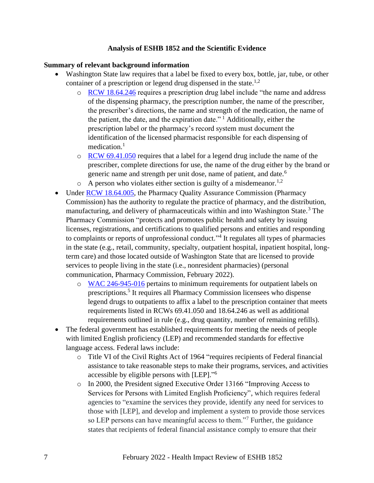#### **Analysis of ESHB 1852 and the Scientific Evidence**

#### **Summary of relevant background information**

- Washington State law requires that a label be fixed to every box, bottle, jar, tube, or other container of a prescription or legend drug dispensed in the state.<sup>1,2</sup>
	- o [RCW 18.64.246](https://app.leg.wa.gov/RCW/default.aspx?cite=18.64.246) requires a prescription drug label include "the name and address of the dispensing pharmacy, the prescription number, the name of the prescriber, the prescriber's directions, the name and strength of the medication, the name of the patient, the date, and the expiration date." <sup>1</sup> Additionally, either the prescription label or the pharmacy's record system must document the identification of the licensed pharmacist responsible for each dispensing of medication. $<sup>1</sup>$ </sup>
	- $\circ$  [RCW 69.41.050](https://app.leg.wa.gov/RCW/default.aspx?cite=69.41.050) requires that a label for a legend drug include the name of the prescriber, complete directions for use, the name of the drug either by the brand or generic name and strength per unit dose, name of patient, and date.<sup>6</sup>
	- $\circ$  A person who violates either section is guilty of a misdemeanor.<sup>1,2</sup>
- Under [RCW 18.64.005,](https://app.leg.wa.gov/RCW/default.aspx?cite=18.64.005) the Pharmacy Quality Assurance Commission (Pharmacy Commission) has the authority to regulate the practice of pharmacy, and the distribution, manufacturing, and delivery of pharmaceuticals within and into Washington State.<sup>3</sup> The Pharmacy Commission "protects and promotes public health and safety by issuing licenses, registrations, and certifications to qualified persons and entities and responding to complaints or reports of unprofessional conduct."<sup>4</sup> It regulates all types of pharmacies in the state (e.g., retail, community, specialty, outpatient hospital, inpatient hospital, longterm care) and those located outside of Washington State that are licensed to provide services to people living in the state (i.e., nonresident pharmacies) (personal communication, Pharmacy Commission, February 2022).
	- o [WAC 246-945-016](https://app.leg.wa.gov/WAC/default.aspx?cite=246-945-016) pertains to minimum requirements for outpatient labels on prescriptions.<sup>5</sup> It requires all Pharmacy Commission licensees who dispense legend drugs to outpatients to affix a label to the prescription container that meets requirements listed in RCWs 69.41.050 and 18.64.246 as well as additional requirements outlined in rule (e.g., drug quantity, number of remaining refills).
- The federal government has established requirements for meeting the needs of people with limited English proficiency (LEP) and recommended standards for effective language access. Federal laws include:
	- o Title VI of the Civil Rights Act of 1964 "requires recipients of Federal financial assistance to take reasonable steps to make their programs, services, and activities accessible by eligible persons with [LEP]." 6
	- o In 2000, the President signed Executive Order 13166 "Improving Access to Services for Persons with Limited English Proficiency", which requires federal agencies to "examine the services they provide, identify any need for services to those with [LEP], and develop and implement a system to provide those services so LEP persons can have meaningful access to them."<sup>7</sup> Further, the guidance states that recipients of federal financial assistance comply to ensure that their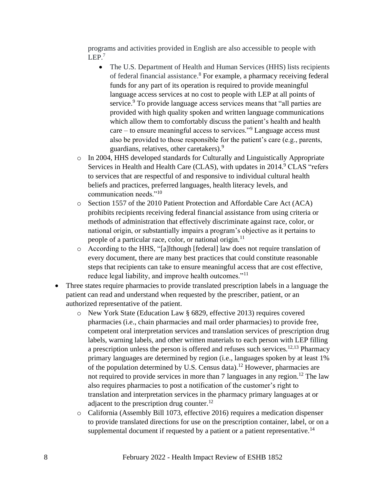programs and activities provided in English are also accessible to people with LEP.<sup>7</sup>

- The U.S. Department of Health and Human Services (HHS) lists recipients of federal financial assistance.<sup>8</sup> For example, a pharmacy receiving federal funds for any part of its operation is required to provide meaningful language access services at no cost to people with LEP at all points of service.<sup>9</sup> To provide language access services means that "all parties are provided with high quality spoken and written language communications which allow them to comfortably discuss the patient's health and health care – to ensure meaningful access to services."<sup>9</sup> Language access must also be provided to those responsible for the patient's care (e.g., parents, guardians, relatives, other caretakers).<sup>9</sup>
- o In 2004, HHS developed standards for Culturally and Linguistically Appropriate Services in Health and Health Care (CLAS), with updates in 2014.<sup>9</sup> CLAS "refers" to services that are respectful of and responsive to individual cultural health beliefs and practices, preferred languages, health literacy levels, and communication needs."<sup>10</sup>
- o Section 1557 of the 2010 Patient Protection and Affordable Care Act (ACA) prohibits recipients receiving federal financial assistance from using criteria or methods of administration that effectively discriminate against race, color, or national origin, or substantially impairs a program's objective as it pertains to people of a particular race, color, or national origin. $^{11}$
- o According to the HHS, "[a]lthough [federal] law does not require translation of every document, there are many best practices that could constitute reasonable steps that recipients can take to ensure meaningful access that are cost effective, reduce legal liability, and improve health outcomes."<sup>11</sup>
- Three states require pharmacies to provide translated prescription labels in a language the patient can read and understand when requested by the prescriber, patient, or an authorized representative of the patient.
	- o New York State (Education Law § 6829, effective 2013) requires covered pharmacies (i.e., chain pharmacies and mail order pharmacies) to provide free, competent oral interpretation services and translation services of prescription drug labels, warning labels, and other written materials to each person with LEP filling a prescription unless the person is offered and refuses such services.<sup>12,13</sup> Pharmacy primary languages are determined by region (i.e., languages spoken by at least 1% of the population determined by U.S. Census data).<sup>12</sup> However, pharmacies are not required to provide services in more than 7 languages in any region.<sup>12</sup> The law also requires pharmacies to post a notification of the customer's right to translation and interpretation services in the pharmacy primary languages at or adjacent to the prescription drug counter. $^{12}$
	- o California (Assembly Bill 1073, effective 2016) requires a medication dispenser to provide translated directions for use on the prescription container, label, or on a supplemental document if requested by a patient or a patient representative.<sup>14</sup>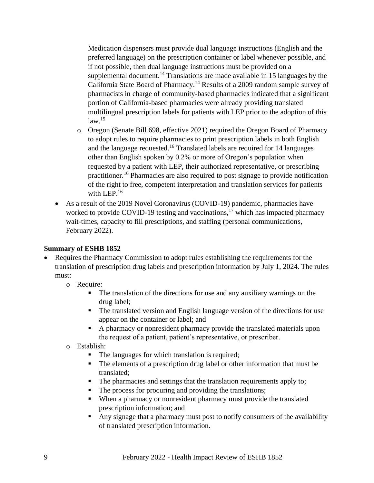Medication dispensers must provide dual language instructions (English and the preferred language) on the prescription container or label whenever possible, and if not possible, then dual language instructions must be provided on a supplemental document.<sup>14</sup> Translations are made available in 15 languages by the California State Board of Pharmacy.<sup>14</sup> Results of a 2009 random sample survey of pharmacists in charge of community-based pharmacies indicated that a significant portion of California-based pharmacies were already providing translated multilingual prescription labels for patients with LEP prior to the adoption of this  $law<sup>15</sup>$ 

- o Oregon (Senate Bill 698, effective 2021) required the Oregon Board of Pharmacy to adopt rules to require pharmacies to print prescription labels in both English and the language requested.<sup>16</sup> Translated labels are required for 14 languages other than English spoken by 0.2% or more of Oregon's population when requested by a patient with LEP, their authorized representative, or prescribing practitioner.<sup>16</sup> Pharmacies are also required to post signage to provide notification of the right to free, competent interpretation and translation services for patients with LEP.<sup>16</sup>
- As a result of the 2019 Novel Coronavirus (COVID-19) pandemic, pharmacies have worked to provide COVID-19 testing and vaccinations, $17$  which has impacted pharmacy wait-times, capacity to fill prescriptions, and staffing (personal communications, February 2022).

#### **Summary of ESHB 1852**

- Requires the Pharmacy Commission to adopt rules establishing the requirements for the translation of prescription drug labels and prescription information by July 1, 2024. The rules must:
	- o Require:
		- The translation of the directions for use and any auxiliary warnings on the drug label;
		- The translated version and English language version of the directions for use appear on the container or label; and
		- A pharmacy or nonresident pharmacy provide the translated materials upon the request of a patient, patient's representative, or prescriber.
	- o Establish:
		- The languages for which translation is required;
		- The elements of a prescription drug label or other information that must be translated;
		- The pharmacies and settings that the translation requirements apply to;
		- The process for procuring and providing the translations;
		- When a pharmacy or nonresident pharmacy must provide the translated prescription information; and
		- Any signage that a pharmacy must post to notify consumers of the availability of translated prescription information.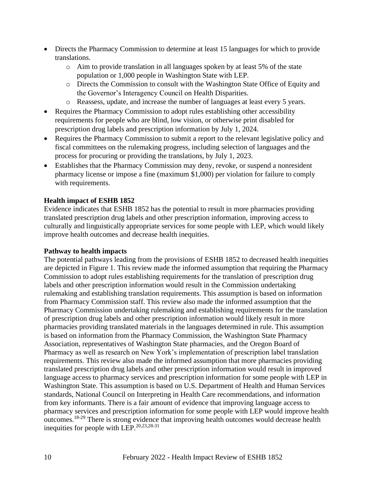- Directs the Pharmacy Commission to determine at least 15 languages for which to provide translations.
	- o Aim to provide translation in all languages spoken by at least 5% of the state population or 1,000 people in Washington State with LEP.
	- o Directs the Commission to consult with the Washington State Office of Equity and the Governor's Interagency Council on Health Disparities.
	- o Reassess, update, and increase the number of languages at least every 5 years.
- Requires the Pharmacy Commission to adopt rules establishing other accessibility requirements for people who are blind, low vision, or otherwise print disabled for prescription drug labels and prescription information by July 1, 2024.
- Requires the Pharmacy Commission to submit a report to the relevant legislative policy and fiscal committees on the rulemaking progress, including selection of languages and the process for procuring or providing the translations, by July 1, 2023.
- Establishes that the Pharmacy Commission may deny, revoke, or suspend a nonresident pharmacy license or impose a fine (maximum \$1,000) per violation for failure to comply with requirements.

#### **Health impact of ESHB 1852**

Evidence indicates that ESHB 1852 has the potential to result in more pharmacies providing translated prescription drug labels and other prescription information, improving access to culturally and linguistically appropriate services for some people with LEP, which would likely improve health outcomes and decrease health inequities.

#### **Pathway to health impacts**

The potential pathways leading from the provisions of ESHB 1852 to decreased health inequities are depicted in Figure 1. This review made the informed assumption that requiring the Pharmacy Commission to adopt rules establishing requirements for the translation of prescription drug labels and other prescription information would result in the Commission undertaking rulemaking and establishing translation requirements. This assumption is based on information from Pharmacy Commission staff. This review also made the informed assumption that the Pharmacy Commission undertaking rulemaking and establishing requirements for the translation of prescription drug labels and other prescription information would likely result in more pharmacies providing translated materials in the languages determined in rule. This assumption is based on information from the Pharmacy Commission, the Washington State Pharmacy Association, representatives of Washington State pharmacies, and the Oregon Board of Pharmacy as well as research on New York's implementation of prescription label translation requirements. This review also made the informed assumption that more pharmacies providing translated prescription drug labels and other prescription information would result in improved language access to pharmacy services and prescription information for some people with LEP in Washington State. This assumption is based on U.S. Department of Health and Human Services standards, National Council on Interpreting in Health Care recommendations, and information from key informants. There is a fair amount of evidence that improving language access to pharmacy services and prescription information for some people with LEP would improve health outcomes.18-29 There is strong evidence that improving health outcomes would decrease health inequities for people with LEP.  $20,23,28-31$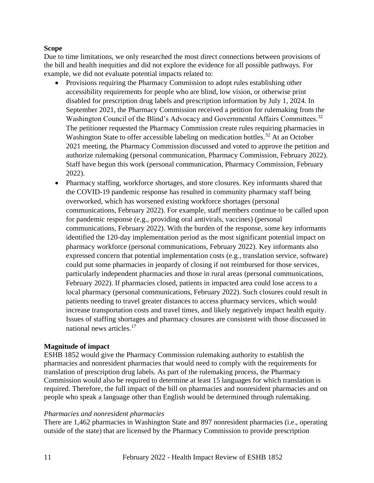#### **Scope**

Due to time limitations, we only researched the most direct connections between provisions of the bill and health inequities and did not explore the evidence for all possible pathways. For example, we did not evaluate potential impacts related to:

- Provisions requiring the Pharmacy Commission to adopt rules establishing other accessibility requirements for people who are blind, low vision, or otherwise print disabled for prescription drug labels and prescription information by July 1, 2024. In September 2021, the Pharmacy Commission received a petition for rulemaking from the Washington Council of the Blind's Advocacy and Governmental Affairs Committees.<sup>32</sup> The petitioner requested the Pharmacy Commission create rules requiring pharmacies in Washington State to offer accessible labeling on medication bottles.<sup>32</sup> At an October 2021 meeting, the Pharmacy Commission discussed and voted to approve the petition and authorize rulemaking (personal communication, Pharmacy Commission, February 2022). Staff have begun this work (personal communication, Pharmacy Commission, February 2022).
- Pharmacy staffing, workforce shortages, and store closures. Key informants shared that the COVID-19 pandemic response has resulted in community pharmacy staff being overworked, which has worsened existing workforce shortages (personal communications, February 2022). For example, staff members continue to be called upon for pandemic response (e.g., providing oral antivirals, vaccines) (personal communications, February 2022). With the burden of the response, some key informants identified the 120-day implementation period as the most significant potential impact on pharmacy workforce (personal communications, February 2022). Key informants also expressed concern that potential implementation costs (e.g., translation service, software) could put some pharmacies in jeopardy of closing if not reimbursed for those services, particularly independent pharmacies and those in rural areas (personal communications, February 2022). If pharmacies closed, patients in impacted area could lose access to a local pharmacy (personal communications, February 2022). Such closures could result in patients needing to travel greater distances to access pharmacy services, which would increase transportation costs and travel times, and likely negatively impact health equity. Issues of staffing shortages and pharmacy closures are consistent with those discussed in national news articles.<sup>17</sup>

#### <span id="page-10-0"></span>**Magnitude of impact**

ESHB 1852 would give the Pharmacy Commission rulemaking authority to establish the pharmacies and nonresident pharmacies that would need to comply with the requirements for translation of prescription drug labels. As part of the rulemaking process, the Pharmacy Commission would also be required to determine at least 15 languages for which translation is required. Therefore, the full impact of the bill on pharmacies and nonresident pharmacies and on people who speak a language other than English would be determined through rulemaking.

#### *Pharmacies and nonresident pharmacies*

There are 1,462 pharmacies in Washington State and 897 nonresident pharmacies (i.e., operating outside of the state) that are licensed by the Pharmacy Commission to provide prescription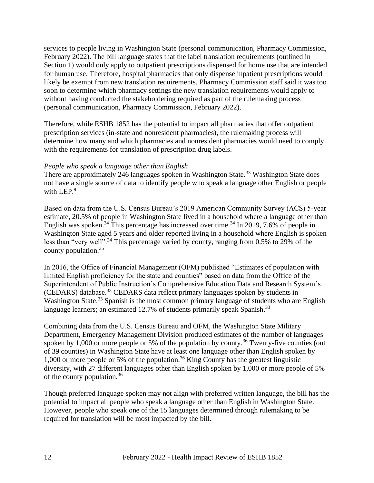services to people living in Washington State (personal communication, Pharmacy Commission, February 2022). The bill language states that the label translation requirements (outlined in Section 1) would only apply to outpatient prescriptions dispensed for home use that are intended for human use. Therefore, hospital pharmacies that only dispense inpatient prescriptions would likely be exempt from new translation requirements. Pharmacy Commission staff said it was too soon to determine which pharmacy settings the new translation requirements would apply to without having conducted the stakeholdering required as part of the rulemaking process (personal communication, Pharmacy Commission, February 2022).

Therefore, while ESHB 1852 has the potential to impact all pharmacies that offer outpatient prescription services (in-state and nonresident pharmacies), the rulemaking process will determine how many and which pharmacies and nonresident pharmacies would need to comply with the requirements for translation of prescription drug labels.

#### *People who speak a language other than English*

There are approximately 246 languages spoken in Washington State.<sup>33</sup> Washington State does not have a single source of data to identify people who speak a language other English or people with LEP.<sup>9</sup>

Based on data from the U.S. Census Bureau's 2019 American Community Survey (ACS) 5-year estimate, 20.5% of people in Washington State lived in a household where a language other than English was spoken.<sup>34</sup> This percentage has increased over time.<sup>34</sup> In 2019, 7.6% of people in Washington State aged 5 years and older reported living in a household where English is spoken less than "very well".<sup>34</sup> This percentage varied by county, ranging from 0.5% to 29% of the county population.<sup>35</sup>

In 2016, the Office of Financial Management (OFM) published "Estimates of population with limited English proficiency for the state and counties" based on data from the Office of the Superintendent of Public Instruction's Comprehensive Education Data and Research System's (CEDARS) database. <sup>33</sup> CEDARS data reflect primary languages spoken by students in Washington State.<sup>33</sup> Spanish is the most common primary language of students who are English language learners; an estimated 12.7% of students primarily speak Spanish.<sup>33</sup>

Combining data from the U.S. Census Bureau and OFM, the Washington State Military Department, Emergency Management Division produced estimates of the number of languages spoken by  $1,000$  or more people or 5% of the population by county.<sup>36</sup> Twenty-five counties (out of 39 counties) in Washington State have at least one language other than English spoken by 1,000 or more people or 5% of the population.<sup>36</sup> King County has the greatest linguistic diversity, with 27 different languages other than English spoken by 1,000 or more people of 5% of the county population.<sup>36</sup>

Though preferred language spoken may not align with preferred written language, the bill has the potential to impact all people who speak a language other than English in Washington State. However, people who speak one of the 15 languages determined through rulemaking to be required for translation will be most impacted by the bill.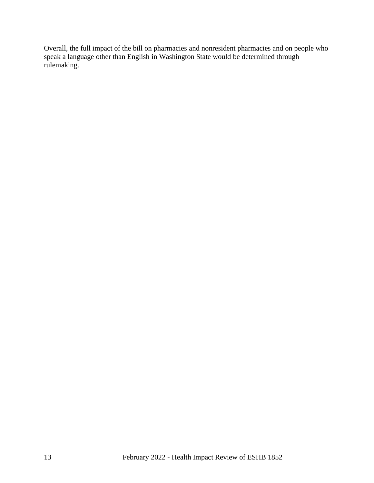Overall, the full impact of the bill on pharmacies and nonresident pharmacies and on people who speak a language other than English in Washington State would be determined through rulemaking.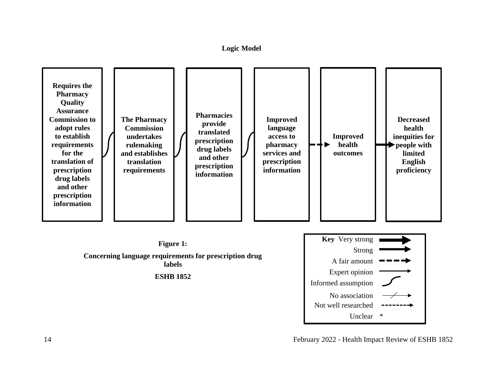**Logic Model**



14 February 2022 - Health Impact Review of ESHB 1852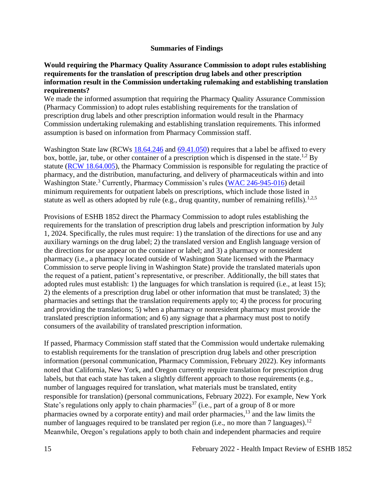#### **Summaries of Findings**

#### <span id="page-14-0"></span>**Would requiring the Pharmacy Quality Assurance Commission to adopt rules establishing requirements for the translation of prescription drug labels and other prescription information result in the Commission undertaking rulemaking and establishing translation requirements?**

We made the informed assumption that requiring the Pharmacy Quality Assurance Commission (Pharmacy Commission) to adopt rules establishing requirements for the translation of prescription drug labels and other prescription information would result in the Pharmacy Commission undertaking rulemaking and establishing translation requirements. This informed assumption is based on information from Pharmacy Commission staff.

Washington State law (RCWs [18.64.246](https://app.leg.wa.gov/RCW/default.aspx?cite=18.64.246) and [69.41.050\)](https://app.leg.wa.gov/RCW/default.aspx?cite=69.41.050) requires that a label be affixed to every box, bottle, jar, tube, or other container of a prescription which is dispensed in the state.<sup>1,2</sup> By statute [\(RCW 18.64.005\)](https://app.leg.wa.gov/RCW/default.aspx?cite=18.64.005), the Pharmacy Commission is responsible for regulating the practice of pharmacy, and the distribution, manufacturing, and delivery of pharmaceuticals within and into Washington State.<sup>3</sup> Currently, Pharmacy Commission's rules [\(WAC 246-945-016\)](https://app.leg.wa.gov/WAC/default.aspx?cite=246-945-016) detail minimum requirements for outpatient labels on prescriptions, which include those listed in statute as well as others adopted by rule (e.g., drug quantity, number of remaining refills).<sup>1,2,5</sup>

Provisions of ESHB 1852 direct the Pharmacy Commission to adopt rules establishing the requirements for the translation of prescription drug labels and prescription information by July 1, 2024. Specifically, the rules must require: 1) the translation of the directions for use and any auxiliary warnings on the drug label; 2) the translated version and English language version of the directions for use appear on the container or label; and 3) a pharmacy or nonresident pharmacy (i.e., a pharmacy located outside of Washington State licensed with the Pharmacy Commission to serve people living in Washington State) provide the translated materials upon the request of a patient, patient's representative, or prescriber. Additionally, the bill states that adopted rules must establish: 1) the languages for which translation is required (i.e., at least 15); 2) the elements of a prescription drug label or other information that must be translated; 3) the pharmacies and settings that the translation requirements apply to; 4) the process for procuring and providing the translations; 5) when a pharmacy or nonresident pharmacy must provide the translated prescription information; and 6) any signage that a pharmacy must post to notify consumers of the availability of translated prescription information.

If passed, Pharmacy Commission staff stated that the Commission would undertake rulemaking to establish requirements for the translation of prescription drug labels and other prescription information (personal communication, Pharmacy Commission, February 2022). Key informants noted that California, New York, and Oregon currently require translation for prescription drug labels, but that each state has taken a slightly different approach to those requirements (e.g., number of languages required for translation, what materials must be translated, entity responsible for translation) (personal communications, February 2022). For example, New York State's regulations only apply to chain pharmacies<sup>37</sup> (i.e., part of a group of 8 or more pharmacies owned by a corporate entity) and mail order pharmacies,<sup>13</sup> and the law limits the number of languages required to be translated per region (i.e., no more than 7 languages).<sup>12</sup> Meanwhile, Oregon's regulations apply to both chain and independent pharmacies and require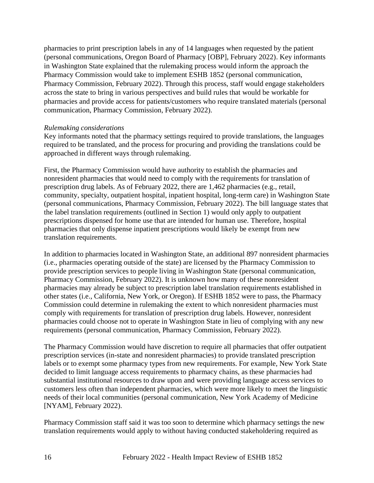pharmacies to print prescription labels in any of 14 languages when requested by the patient (personal communications, Oregon Board of Pharmacy [OBP], February 2022). Key informants in Washington State explained that the rulemaking process would inform the approach the Pharmacy Commission would take to implement ESHB 1852 (personal communication, Pharmacy Commission, February 2022). Through this process, staff would engage stakeholders across the state to bring in various perspectives and build rules that would be workable for pharmacies and provide access for patients/customers who require translated materials (personal communication, Pharmacy Commission, February 2022).

#### *Rulemaking considerations*

Key informants noted that the pharmacy settings required to provide translations, the languages required to be translated, and the process for procuring and providing the translations could be approached in different ways through rulemaking.

First, the Pharmacy Commission would have authority to establish the pharmacies and nonresident pharmacies that would need to comply with the requirements for translation of prescription drug labels. As of February 2022, there are 1,462 pharmacies (e.g., retail, community, specialty, outpatient hospital, inpatient hospital, long-term care) in Washington State (personal communications, Pharmacy Commission, February 2022). The bill language states that the label translation requirements (outlined in Section 1) would only apply to outpatient prescriptions dispensed for home use that are intended for human use. Therefore, hospital pharmacies that only dispense inpatient prescriptions would likely be exempt from new translation requirements.

In addition to pharmacies located in Washington State, an additional 897 nonresident pharmacies (i.e., pharmacies operating outside of the state) are licensed by the Pharmacy Commission to provide prescription services to people living in Washington State (personal communication, Pharmacy Commission, February 2022). It is unknown how many of these nonresident pharmacies may already be subject to prescription label translation requirements established in other states (i.e., California, New York, or Oregon). If ESHB 1852 were to pass, the Pharmacy Commission could determine in rulemaking the extent to which nonresident pharmacies must comply with requirements for translation of prescription drug labels. However, nonresident pharmacies could choose not to operate in Washington State in lieu of complying with any new requirements (personal communication, Pharmacy Commission, February 2022).

The Pharmacy Commission would have discretion to require all pharmacies that offer outpatient prescription services (in-state and nonresident pharmacies) to provide translated prescription labels or to exempt some pharmacy types from new requirements. For example, New York State decided to limit language access requirements to pharmacy chains, as these pharmacies had substantial institutional resources to draw upon and were providing language access services to customers less often than independent pharmacies, which were more likely to meet the linguistic needs of their local communities (personal communication, New York Academy of Medicine [NYAM], February 2022).

Pharmacy Commission staff said it was too soon to determine which pharmacy settings the new translation requirements would apply to without having conducted stakeholdering required as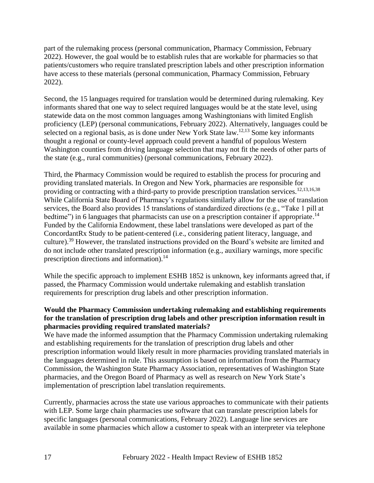part of the rulemaking process (personal communication, Pharmacy Commission, February 2022). However, the goal would be to establish rules that are workable for pharmacies so that patients/customers who require translated prescription labels and other prescription information have access to these materials (personal communication, Pharmacy Commission, February 2022).

Second, the 15 languages required for translation would be determined during rulemaking. Key informants shared that one way to select required languages would be at the state level, using statewide data on the most common languages among Washingtonians with limited English proficiency (LEP) (personal communications, February 2022). Alternatively, languages could be selected on a regional basis, as is done under New York State law.<sup>12,13</sup> Some key informants thought a regional or county-level approach could prevent a handful of populous Western Washington counties from driving language selection that may not fit the needs of other parts of the state (e.g., rural communities) (personal communications, February 2022).

Third, the Pharmacy Commission would be required to establish the process for procuring and providing translated materials. In Oregon and New York, pharmacies are responsible for providing or contracting with a third-party to provide prescription translation services.<sup>12,13,16,38</sup> While California State Board of Pharmacy's regulations similarly allow for the use of translation services, the Board also provides 15 translations of standardized directions (e.g., "Take 1 pill at bedtime") in 6 languages that pharmacists can use on a prescription container if appropriate.<sup>14</sup> Funded by the California Endowment, these label translations were developed as part of the ConcordantRx Study to be patient-centered (i.e., considering patient literacy, language, and culture).<sup>39</sup> However, the translated instructions provided on the Board's website are limited and do not include other translated prescription information (e.g., auxiliary warnings, more specific prescription directions and information). $^{14}$ 

While the specific approach to implement ESHB 1852 is unknown, key informants agreed that, if passed, the Pharmacy Commission would undertake rulemaking and establish translation requirements for prescription drug labels and other prescription information.

#### **Would the Pharmacy Commission undertaking rulemaking and establishing requirements for the translation of prescription drug labels and other prescription information result in pharmacies providing required translated materials?**

We have made the informed assumption that the Pharmacy Commission undertaking rulemaking and establishing requirements for the translation of prescription drug labels and other prescription information would likely result in more pharmacies providing translated materials in the languages determined in rule. This assumption is based on information from the Pharmacy Commission, the Washington State Pharmacy Association, representatives of Washington State pharmacies, and the Oregon Board of Pharmacy as well as research on New York State's implementation of prescription label translation requirements.

Currently, pharmacies across the state use various approaches to communicate with their patients with LEP. Some large chain pharmacies use software that can translate prescription labels for specific languages (personal communications, February 2022). Language line services are available in some pharmacies which allow a customer to speak with an interpreter via telephone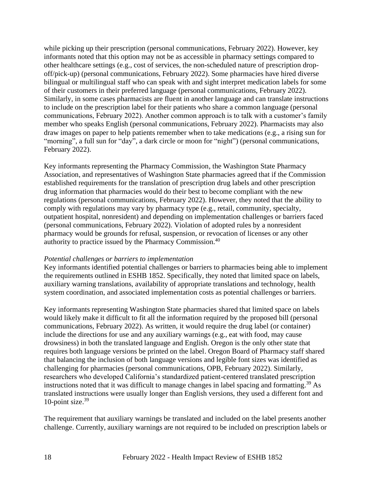while picking up their prescription (personal communications, February 2022). However, key informants noted that this option may not be as accessible in pharmacy settings compared to other healthcare settings (e.g., cost of services, the non-scheduled nature of prescription dropoff/pick-up) (personal communications, February 2022). Some pharmacies have hired diverse bilingual or multilingual staff who can speak with and sight interpret medication labels for some of their customers in their preferred language (personal communications, February 2022). Similarly, in some cases pharmacists are fluent in another language and can translate instructions to include on the prescription label for their patients who share a common language (personal communications, February 2022). Another common approach is to talk with a customer's family member who speaks English (personal communications, February 2022). Pharmacists may also draw images on paper to help patients remember when to take medications (e.g., a rising sun for "morning", a full sun for "day", a dark circle or moon for "night") (personal communications, February 2022).

Key informants representing the Pharmacy Commission, the Washington State Pharmacy Association, and representatives of Washington State pharmacies agreed that if the Commission established requirements for the translation of prescription drug labels and other prescription drug information that pharmacies would do their best to become compliant with the new regulations (personal communications, February 2022). However, they noted that the ability to comply with regulations may vary by pharmacy type (e.g., retail, community, specialty, outpatient hospital, nonresident) and depending on implementation challenges or barriers faced (personal communications, February 2022). Violation of adopted rules by a nonresident pharmacy would be grounds for refusal, suspension, or revocation of licenses or any other authority to practice issued by the Pharmacy Commission.<sup>40</sup>

#### *Potential challenges or barriers to implementation*

Key informants identified potential challenges or barriers to pharmacies being able to implement the requirements outlined in ESHB 1852. Specifically, they noted that limited space on labels, auxiliary warning translations, availability of appropriate translations and technology, health system coordination, and associated implementation costs as potential challenges or barriers.

Key informants representing Washington State pharmacies shared that limited space on labels would likely make it difficult to fit all the information required by the proposed bill (personal communications, February 2022). As written, it would require the drug label (or container) include the directions for use and any auxiliary warnings (e.g., eat with food, may cause drowsiness) in both the translated language and English. Oregon is the only other state that requires both language versions be printed on the label. Oregon Board of Pharmacy staff shared that balancing the inclusion of both language versions and legible font sizes was identified as challenging for pharmacies (personal communications, OPB, February 2022). Similarly, researchers who developed California's standardized patient-centered translated prescription instructions noted that it was difficult to manage changes in label spacing and formatting. <sup>39</sup> As translated instructions were usually longer than English versions, they used a different font and 10-point size. 39

The requirement that auxiliary warnings be translated and included on the label presents another challenge. Currently, auxiliary warnings are not required to be included on prescription labels or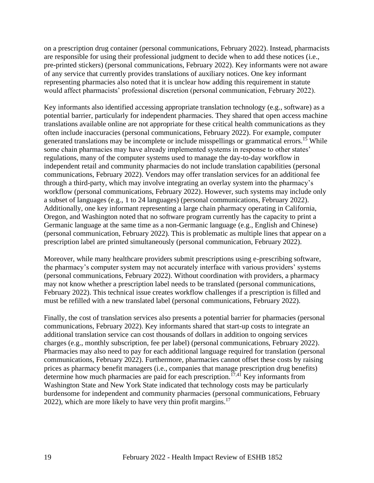on a prescription drug container (personal communications, February 2022). Instead, pharmacists are responsible for using their professional judgment to decide when to add these notices (i.e., pre-printed stickers) (personal communications, February 2022). Key informants were not aware of any service that currently provides translations of auxiliary notices. One key informant representing pharmacies also noted that it is unclear how adding this requirement in statute would affect pharmacists' professional discretion (personal communication, February 2022).

Key informants also identified accessing appropriate translation technology (e.g., software) as a potential barrier, particularly for independent pharmacies. They shared that open access machine translations available online are not appropriate for these critical health communications as they often include inaccuracies (personal communications, February 2022). For example, computer generated translations may be incomplete or include misspellings or grammatical errors.<sup>15</sup> While some chain pharmacies may have already implemented systems in response to other states' regulations, many of the computer systems used to manage the day-to-day workflow in independent retail and community pharmacies do not include translation capabilities (personal communications, February 2022). Vendors may offer translation services for an additional fee through a third-party, which may involve integrating an overlay system into the pharmacy's workflow (personal communications, February 2022). However, such systems may include only a subset of languages (e.g., 1 to 24 languages) (personal communications, February 2022). Additionally, one key informant representing a large chain pharmacy operating in California, Oregon, and Washington noted that no software program currently has the capacity to print a Germanic language at the same time as a non-Germanic language (e.g., English and Chinese) (personal communication, February 2022). This is problematic as multiple lines that appear on a prescription label are printed simultaneously (personal communication, February 2022).

Moreover, while many healthcare providers submit prescriptions using e-prescribing software, the pharmacy's computer system may not accurately interface with various providers' systems (personal communications, February 2022). Without coordination with providers, a pharmacy may not know whether a prescription label needs to be translated (personal communications, February 2022). This technical issue creates workflow challenges if a prescription is filled and must be refilled with a new translated label (personal communications, February 2022).

Finally, the cost of translation services also presents a potential barrier for pharmacies (personal communications, February 2022). Key informants shared that start-up costs to integrate an additional translation service can cost thousands of dollars in addition to ongoing services charges (e.g., monthly subscription, fee per label) (personal communications, February 2022). Pharmacies may also need to pay for each additional language required for translation (personal communications, February 2022). Furthermore, pharmacies cannot offset these costs by raising prices as pharmacy benefit managers (i.e., companies that manage prescription drug benefits) determine how much pharmacies are paid for each prescription.<sup> $17,41$ </sup> Key informants from Washington State and New York State indicated that technology costs may be particularly burdensome for independent and community pharmacies (personal communications, February 2022), which are more likely to have very thin profit margins.<sup>17</sup>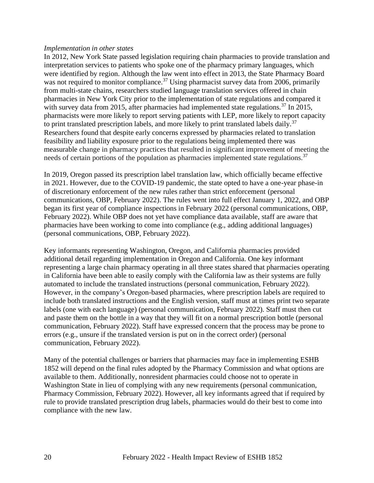#### *Implementation in other states*

In 2012, New York State passed legislation requiring chain pharmacies to provide translation and interpretation services to patients who spoke one of the pharmacy primary languages, which were identified by region. Although the law went into effect in 2013, the State Pharmacy Board was not required to monitor compliance.<sup>37</sup> Using pharmacist survey data from 2006, primarily from multi-state chains, researchers studied language translation services offered in chain pharmacies in New York City prior to the implementation of state regulations and compared it with survey data from 2015, after pharmacies had implemented state regulations.<sup>37</sup> In 2015, pharmacists were more likely to report serving patients with LEP, more likely to report capacity to print translated prescription labels, and more likely to print translated labels daily.<sup>37</sup> Researchers found that despite early concerns expressed by pharmacies related to translation feasibility and liability exposure prior to the regulations being implemented there was measurable change in pharmacy practices that resulted in significant improvement of meeting the needs of certain portions of the population as pharmacies implemented state regulations.<sup>37</sup>

In 2019, Oregon passed its prescription label translation law, which officially became effective in 2021. However, due to the COVID-19 pandemic, the state opted to have a one-year phase-in of discretionary enforcement of the new rules rather than strict enforcement (personal communications, OBP, February 2022). The rules went into full effect January 1, 2022, and OBP began its first year of compliance inspections in February 2022 (personal communications, OBP, February 2022). While OBP does not yet have compliance data available, staff are aware that pharmacies have been working to come into compliance (e.g., adding additional languages) (personal communications, OBP, February 2022).

Key informants representing Washington, Oregon, and California pharmacies provided additional detail regarding implementation in Oregon and California. One key informant representing a large chain pharmacy operating in all three states shared that pharmacies operating in California have been able to easily comply with the California law as their systems are fully automated to include the translated instructions (personal communication, February 2022). However, in the company's Oregon-based pharmacies, where prescription labels are required to include both translated instructions and the English version, staff must at times print two separate labels (one with each language) (personal communication, February 2022). Staff must then cut and paste them on the bottle in a way that they will fit on a normal prescription bottle (personal communication, February 2022). Staff have expressed concern that the process may be prone to errors (e.g., unsure if the translated version is put on in the correct order) (personal communication, February 2022).

Many of the potential challenges or barriers that pharmacies may face in implementing ESHB 1852 will depend on the final rules adopted by the Pharmacy Commission and what options are available to them. Additionally, nonresident pharmacies could choose not to operate in Washington State in lieu of complying with any new requirements (personal communication, Pharmacy Commission, February 2022). However, all key informants agreed that if required by rule to provide translated prescription drug labels, pharmacies would do their best to come into compliance with the new law.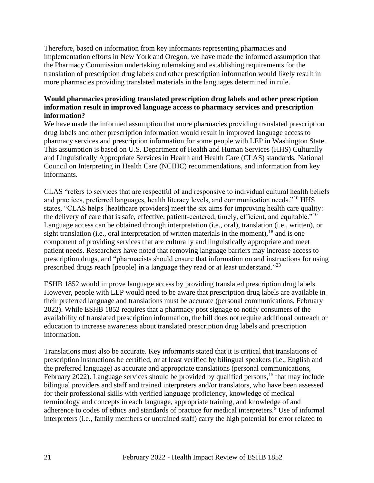Therefore, based on information from key informants representing pharmacies and implementation efforts in New York and Oregon, we have made the informed assumption that the Pharmacy Commission undertaking rulemaking and establishing requirements for the translation of prescription drug labels and other prescription information would likely result in more pharmacies providing translated materials in the languages determined in rule.

#### **Would pharmacies providing translated prescription drug labels and other prescription information result in improved language access to pharmacy services and prescription information?**

We have made the informed assumption that more pharmacies providing translated prescription drug labels and other prescription information would result in improved language access to pharmacy services and prescription information for some people with LEP in Washington State. This assumption is based on U.S. Department of Health and Human Services (HHS) Culturally and Linguistically Appropriate Services in Health and Health Care (CLAS) standards, National Council on Interpreting in Health Care (NCIHC) recommendations, and information from key informants.

CLAS "refers to services that are respectful of and responsive to individual cultural health beliefs and practices, preferred languages, health literacy levels, and communication needs."<sup>10</sup> HHS states, "CLAS helps [healthcare providers] meet the six aims for improving health care quality: the delivery of care that is safe, effective, patient-centered, timely, efficient, and equitable."<sup>10</sup> Language access can be obtained through interpretation (i.e., oral), translation (i.e., written), or sight translation (i.e., oral interpretation of written materials in the moment),  $^{18}$  and is one component of providing services that are culturally and linguistically appropriate and meet patient needs. Researchers have noted that removing language barriers may increase access to prescription drugs, and "pharmacists should ensure that information on and instructions for using prescribed drugs reach [people] in a language they read or at least understand."<sup>23</sup>

ESHB 1852 would improve language access by providing translated prescription drug labels. However, people with LEP would need to be aware that prescription drug labels are available in their preferred language and translations must be accurate (personal communications, February 2022). While ESHB 1852 requires that a pharmacy post signage to notify consumers of the availability of translated prescription information, the bill does not require additional outreach or education to increase awareness about translated prescription drug labels and prescription information.

Translations must also be accurate. Key informants stated that it is critical that translations of prescription instructions be certified, or at least verified by bilingual speakers (i.e., English and the preferred language) as accurate and appropriate translations (personal communications, February 2022). Language services should be provided by qualified persons,<sup>15</sup> that may include bilingual providers and staff and trained interpreters and/or translators, who have been assessed for their professional skills with verified language proficiency, knowledge of medical terminology and concepts in each language, appropriate training, and knowledge of and adherence to codes of ethics and standards of practice for medical interpreters. $9$  Use of informal interpreters (i.e., family members or untrained staff) carry the high potential for error related to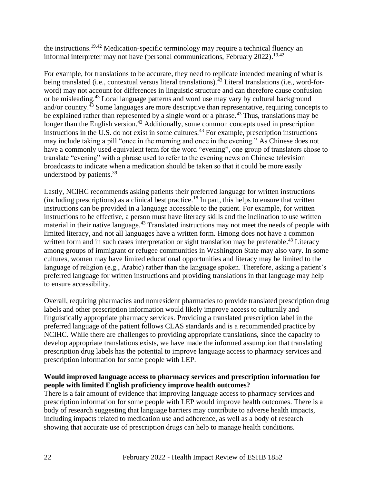the instructions.<sup>19,42</sup> Medication-specific terminology may require a technical fluency an informal interpreter may not have (personal communications, February 2022).<sup>19,42</sup>

For example, for translations to be accurate, they need to replicate intended meaning of what is being translated (i.e., contextual versus literal translations).<sup> $\frac{1}{4}$ 3</sup> Literal translations (i.e., word-forword) may not account for differences in linguistic structure and can therefore cause confusion or be misleading.<sup>43</sup> Local language patterns and word use may vary by cultural background and/or country.<sup>43</sup> Some languages are more descriptive than representative, requiring concepts to be explained rather than represented by a single word or a phrase.<sup>43</sup> Thus, translations may be longer than the English version.<sup>43</sup> Additionally, some common concepts used in prescription instructions in the U.S. do not exist in some cultures.<sup>43</sup> For example, prescription instructions may include taking a pill "once in the morning and once in the evening." As Chinese does not have a commonly used equivalent term for the word "evening", one group of translators chose to translate "evening" with a phrase used to refer to the evening news on Chinese television broadcasts to indicate when a medication should be taken so that it could be more easily understood by patients.<sup>39</sup>

Lastly, NCIHC recommends asking patients their preferred language for written instructions  $(including \, prescriptions)$  as a clinical best practice.<sup>18</sup> In part, this helps to ensure that written instructions can be provided in a language accessible to the patient. For example, for written instructions to be effective, a person must have literacy skills and the inclination to use written material in their native language.<sup>43</sup> Translated instructions may not meet the needs of people with limited literacy, and not all languages have a written form. Hmong does not have a common written form and in such cases interpretation or sight translation may be preferable.<sup>43</sup> Literacy among groups of immigrant or refugee communities in Washington State may also vary. In some cultures, women may have limited educational opportunities and literacy may be limited to the language of religion (e.g., Arabic) rather than the language spoken. Therefore, asking a patient's preferred language for written instructions and providing translations in that language may help to ensure accessibility.

Overall, requiring pharmacies and nonresident pharmacies to provide translated prescription drug labels and other prescription information would likely improve access to culturally and linguistically appropriate pharmacy services. Providing a translated prescription label in the preferred language of the patient follows CLAS standards and is a recommended practice by NCIHC. While there are challenges to providing appropriate translations, since the capacity to develop appropriate translations exists, we have made the informed assumption that translating prescription drug labels has the potential to improve language access to pharmacy services and prescription information for some people with LEP.

#### **Would improved language access to pharmacy services and prescription information for people with limited English proficiency improve health outcomes?**

There is a fair amount of evidence that improving language access to pharmacy services and prescription information for some people with LEP would improve health outcomes. There is a body of research suggesting that language barriers may contribute to adverse health impacts, including impacts related to medication use and adherence, as well as a body of research showing that accurate use of prescription drugs can help to manage health conditions.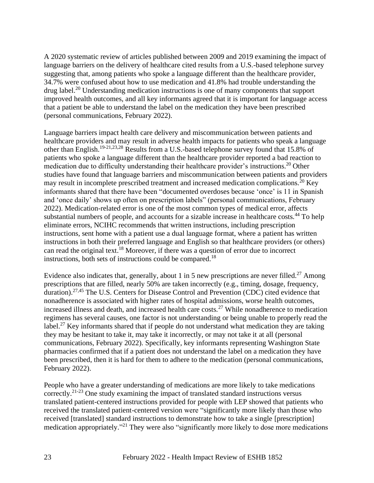A 2020 systematic review of articles published between 2009 and 2019 examining the impact of language barriers on the delivery of healthcare cited results from a U.S.-based telephone survey suggesting that, among patients who spoke a language different than the healthcare provider, 34.7% were confused about how to use medication and 41.8% had trouble understanding the drug label.<sup>20</sup> Understanding medication instructions is one of many components that support improved health outcomes, and all key informants agreed that it is important for language access that a patient be able to understand the label on the medication they have been prescribed (personal communications, February 2022).

Language barriers impact health care delivery and miscommunication between patients and healthcare providers and may result in adverse health impacts for patients who speak a language other than English.19-21,23,28 Results from a U.S.-based telephone survey found that 15.8% of patients who spoke a language different than the healthcare provider reported a bad reaction to medication due to difficulty understanding their healthcare provider's instructions.<sup>20</sup> Other studies have found that language barriers and miscommunication between patients and providers may result in incomplete prescribed treatment and increased medication complications.<sup>20</sup> Key informants shared that there have been "documented overdoses because 'once' is 11 in Spanish and 'once daily' shows up often on prescription labels" (personal communications, February 2022). Medication-related error is one of the most common types of medical error, affects substantial numbers of people, and accounts for a sizable increase in healthcare costs.<sup>44</sup> To help eliminate errors, NCIHC recommends that written instructions, including prescription instructions, sent home with a patient use a dual language format, where a patient has written instructions in both their preferred language and English so that healthcare providers (or others) can read the original text. <sup>18</sup> Moreover, if there was a question of error due to incorrect instructions, both sets of instructions could be compared.<sup>18</sup>

Evidence also indicates that, generally, about 1 in 5 new prescriptions are never filled.<sup>27</sup> Among prescriptions that are filled, nearly 50% are taken incorrectly (e.g., timing, dosage, frequency, duration).<sup>27,45</sup> The U.S. Centers for Disease Control and Prevention (CDC) cited evidence that nonadherence is associated with higher rates of hospital admissions, worse health outcomes, increased illness and death, and increased health care costs.<sup>27</sup> While nonadherence to medication regimens has several causes, one factor is not understanding or being unable to properly read the label.<sup>27</sup> Key informants shared that if people do not understand what medication they are taking they may be hesitant to take it, may take it incorrectly, or may not take it at all (personal communications, February 2022). Specifically, key informants representing Washington State pharmacies confirmed that if a patient does not understand the label on a medication they have been prescribed, then it is hard for them to adhere to the medication (personal communications, February 2022).

People who have a greater understanding of medications are more likely to take medications correctly.<sup>21-23</sup> One study examining the impact of translated standard instructions versus translated patient-centered instructions provided for people with LEP showed that patients who received the translated patient-centered version were "significantly more likely than those who received [translated] standard instructions to demonstrate how to take a single [prescription] medication appropriately."<sup>21</sup> They were also "significantly more likely to dose more medications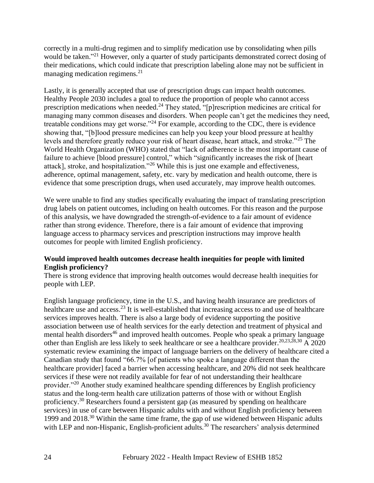correctly in a multi-drug regimen and to simplify medication use by consolidating when pills would be taken."<sup>21</sup> However, only a quarter of study participants demonstrated correct dosing of their medications, which could indicate that prescription labeling alone may not be sufficient in managing medication regimens.<sup>21</sup>

Lastly, it is generally accepted that use of prescription drugs can impact health outcomes. Healthy People 2030 includes a goal to reduce the proportion of people who cannot access prescription medications when needed.<sup>24</sup> They stated, " $[p]$ rescription medicines are critical for managing many common diseases and disorders. When people can't get the medicines they need, treatable conditions may get worse."<sup>24</sup> For example, according to the CDC, there is evidence showing that, "[b]lood pressure medicines can help you keep your blood pressure at healthy levels and therefore greatly reduce your risk of heart disease, heart attack, and stroke."<sup>25</sup> The World Health Organization (WHO) stated that "lack of adherence is the most important cause of failure to achieve [blood pressure] control," which "significantly increases the risk of [heart attack], stroke, and hospitalization."<sup>26</sup> While this is just one example and effectiveness, adherence, optimal management, safety, etc. vary by medication and health outcome, there is evidence that some prescription drugs, when used accurately, may improve health outcomes.

We were unable to find any studies specifically evaluating the impact of translating prescription drug labels on patient outcomes, including on health outcomes. For this reason and the purpose of this analysis, we have downgraded the strength-of-evidence to a fair amount of evidence rather than strong evidence. Therefore, there is a fair amount of evidence that improving language access to pharmacy services and prescription instructions may improve health outcomes for people with limited English proficiency.

#### **Would improved health outcomes decrease health inequities for people with limited English proficiency?**

There is strong evidence that improving health outcomes would decrease health inequities for people with LEP.

English language proficiency, time in the U.S., and having health insurance are predictors of healthcare use and access.<sup>23</sup> It is well-established that increasing access to and use of healthcare services improves health. There is also a large body of evidence supporting the positive association between use of health services for the early detection and treatment of physical and mental health disorders<sup>46</sup> and improved health outcomes. People who speak a primary language other than English are less likely to seek healthcare or see a healthcare provider.<sup>20,23,28,30</sup> A 2020 systematic review examining the impact of language barriers on the delivery of healthcare cited a Canadian study that found "66.7% [of patients who spoke a language different than the healthcare provider] faced a barrier when accessing healthcare, and 20% did not seek healthcare services if these were not readily available for fear of not understanding their healthcare provider."<sup>20</sup> Another study examined healthcare spending differences by English proficiency status and the long-term health care utilization patterns of those with or without English proficiency.<sup>30</sup> Researchers found a persistent gap (as measured by spending on healthcare services) in use of care between Hispanic adults with and without English proficiency between 1999 and 2018.<sup>30</sup> Within the same time frame, the gap of use widened between Hispanic adults with LEP and non-Hispanic, English-proficient adults.<sup>30</sup> The researchers' analysis determined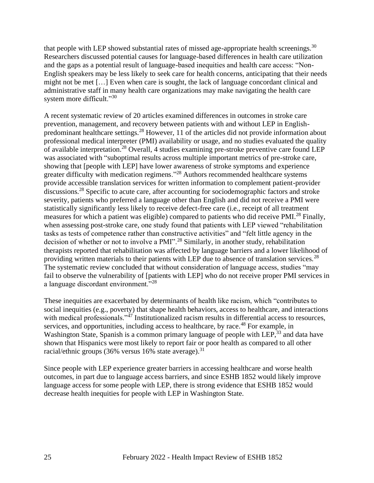that people with LEP showed substantial rates of missed age-appropriate health screenings.<sup>30</sup> Researchers discussed potential causes for language-based differences in health care utilization and the gaps as a potential result of language-based inequities and health care access: "Non-English speakers may be less likely to seek care for health concerns, anticipating that their needs might not be met […] Even when care is sought, the lack of language concordant clinical and administrative staff in many health care organizations may make navigating the health care system more difficult."<sup>30</sup>

A recent systematic review of 20 articles examined differences in outcomes in stroke care prevention, management, and recovery between patients with and without LEP in Englishpredominant healthcare settings.<sup>28</sup> However, 11 of the articles did not provide information about professional medical interpreter (PMI) availability or usage, and no studies evaluated the quality of available interpretation.<sup>28</sup> Overall, 4 studies examining pre-stroke preventive care found LEP was associated with "suboptimal results across multiple important metrics of pre-stroke care, showing that [people with LEP] have lower awareness of stroke symptoms and experience greater difficulty with medication regimens."<sup>28</sup> Authors recommended healthcare systems provide accessible translation services for written information to complement patient-provider discussions.<sup>28</sup> Specific to acute care, after accounting for sociodemographic factors and stroke severity, patients who preferred a language other than English and did not receive a PMI were statistically significantly less likely to receive defect-free care (i.e., receipt of all treatment measures for which a patient was eligible) compared to patients who did receive PMI.<sup>28</sup> Finally, when assessing post-stroke care, one study found that patients with LEP viewed "rehabilitation tasks as tests of competence rather than constructive activities" and "felt little agency in the decision of whether or not to involve a PMI".<sup>28</sup> Similarly, in another study, rehabilitation therapists reported that rehabilitation was affected by language barriers and a lower likelihood of providing written materials to their patients with LEP due to absence of translation services.<sup>28</sup> The systematic review concluded that without consideration of language access, studies "may fail to observe the vulnerability of [patients with LEP] who do not receive proper PMI services in a language discordant environment."<sup>28</sup>

These inequities are exacerbated by determinants of health like racism, which "contributes to social inequities (e.g., poverty) that shape health behaviors, access to healthcare, and interactions with medical professionals."<sup>47</sup> Institutionalized racism results in differential access to resources, services, and opportunities, including access to healthcare, by race.<sup>48</sup> For example, in Washington State, Spanish is a common primary language of people with LEP,<sup>33</sup> and data have shown that Hispanics were most likely to report fair or poor health as compared to all other racial/ethnic groups (36% versus 16% state average).<sup>31</sup>

Since people with LEP experience greater barriers in accessing healthcare and worse health outcomes, in part due to language access barriers, and since ESHB 1852 would likely improve language access for some people with LEP, there is strong evidence that ESHB 1852 would decrease health inequities for people with LEP in Washington State.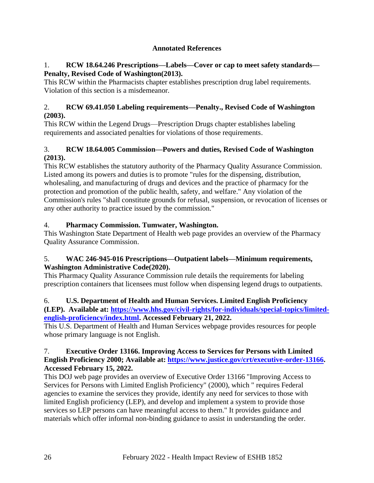## **Annotated References**

#### <span id="page-25-0"></span>1. **RCW 18.64.246 Prescriptions—Labels—Cover or cap to meet safety standards— Penalty, Revised Code of Washington(2013).**

This RCW within the Pharmacists chapter establishes prescription drug label requirements. Violation of this section is a misdemeanor.

### 2. **RCW 69.41.050 Labeling requirements—Penalty., Revised Code of Washington (2003).**

This RCW within the Legend Drugs—Prescription Drugs chapter establishes labeling requirements and associated penalties for violations of those requirements.

## 3. **RCW 18.64.005 Commission—Powers and duties, Revised Code of Washington (2013).**

This RCW establishes the statutory authority of the Pharmacy Quality Assurance Commission. Listed among its powers and duties is to promote "rules for the dispensing, distribution, wholesaling, and manufacturing of drugs and devices and the practice of pharmacy for the protection and promotion of the public health, safety, and welfare." Any violation of the Commission's rules "shall constitute grounds for refusal, suspension, or revocation of licenses or any other authority to practice issued by the commission."

## 4. **Pharmacy Commission. Tumwater, Washington.**

This Washington State Department of Health web page provides an overview of the Pharmacy Quality Assurance Commission.

## 5. **WAC 246-945-016 Prescriptions—Outpatient labels—Minimum requirements, Washington Administrative Code(2020).**

This Pharmacy Quality Assurance Commission rule details the requirements for labeling prescription containers that licensees must follow when dispensing legend drugs to outpatients.

## 6. **U.S. Department of Health and Human Services. Limited English Proficiency**

**(LEP). Available at: [https://www.hhs.gov/civil-rights/for-individuals/special-topics/limited](https://www.hhs.gov/civil-rights/for-individuals/special-topics/limited-english-proficiency/index.html)[english-proficiency/index.html.](https://www.hhs.gov/civil-rights/for-individuals/special-topics/limited-english-proficiency/index.html) Accessed February 21, 2022.**

This U.S. Department of Health and Human Services webpage provides resources for people whose primary language is not English.

#### 7. **Executive Order 13166. Improving Access to Services for Persons with Limited English Proficiency 2000; Available at: [https://www.justice.gov/crt/executive-order-13166.](https://www.justice.gov/crt/executive-order-13166) Accessed February 15, 2022.**

This DOJ web page provides an overview of Executive Order 13166 "Improving Access to Services for Persons with Limited English Proficiency" (2000), which " requires Federal agencies to examine the services they provide, identify any need for services to those with limited English proficiency (LEP), and develop and implement a system to provide those services so LEP persons can have meaningful access to them." It provides guidance and materials which offer informal non-binding guidance to assist in understanding the order.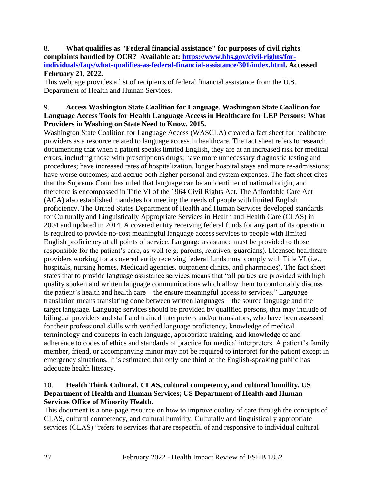8. **What qualifies as "Federal financial assistance" for purposes of civil rights complaints handled by OCR? Available at: [https://www.hhs.gov/civil-rights/for](https://www.hhs.gov/civil-rights/for-individuals/faqs/what-qualifies-as-federal-financial-assistance/301/index.html)[individuals/faqs/what-qualifies-as-federal-financial-assistance/301/index.html.](https://www.hhs.gov/civil-rights/for-individuals/faqs/what-qualifies-as-federal-financial-assistance/301/index.html) Accessed February 21, 2022.**

This webpage provides a list of recipients of federal financial assistance from the U.S. Department of Health and Human Services.

#### 9. **Access Washington State Coalition for Language. Washington State Coalition for Language Access Tools for Health Language Access in Healthcare for LEP Persons: What Providers in Washington State Need to Know. 2015.**

Washington State Coalition for Language Access (WASCLA) created a fact sheet for healthcare providers as a resource related to language access in healthcare. The fact sheet refers to research documenting that when a patient speaks limited English, they are at an increased risk for medical errors, including those with prescriptions drugs; have more unnecessary diagnostic testing and procedures; have increased rates of hospitalization, longer hospital stays and more re-admissions; have worse outcomes; and accrue both higher personal and system expenses. The fact sheet cites that the Supreme Court has ruled that language can be an identifier of national origin, and therefore is encompassed in Title VI of the 1964 Civil Rights Act. The Affordable Care Act (ACA) also established mandates for meeting the needs of people with limited English proficiency. The United States Department of Health and Human Services developed standards for Culturally and Linguistically Appropriate Services in Health and Health Care (CLAS) in 2004 and updated in 2014. A covered entity receiving federal funds for any part of its operation is required to provide no-cost meaningful language access services to people with limited English proficiency at all points of service. Language assistance must be provided to those responsible for the patient's care, as well (e.g. parents, relatives, guardians). Licensed healthcare providers working for a covered entity receiving federal funds must comply with Title VI (i.e., hospitals, nursing homes, Medicaid agencies, outpatient clinics, and pharmacies). The fact sheet states that to provide language assistance services means that "all parties are provided with high quality spoken and written language communications which allow them to comfortably discuss the patient's health and health care – the ensure meaningful access to services." Language translation means translating done between written languages – the source language and the target language. Language services should be provided by qualified persons, that may include of bilingual providers and staff and trained interpreters and/or translators, who have been assessed for their professional skills with verified language proficiency, knowledge of medical terminology and concepts in each language, appropriate training, and knowledge of and adherence to codes of ethics and standards of practice for medical interpreters. A patient's family member, friend, or accompanying minor may not be required to interpret for the patient except in emergency situations. It is estimated that only one third of the English-speaking public has adequate health literacy.

## 10. **Health Think Cultural. CLAS, cultural competency, and cultural humility. US Department of Health and Human Services; US Department of Health and Human Services Office of Minority Health.**

This document is a one-page resource on how to improve quality of care through the concepts of CLAS, cultural competency, and cultural humility. Culturally and linguistically appropriate services (CLAS) "refers to services that are respectful of and responsive to individual cultural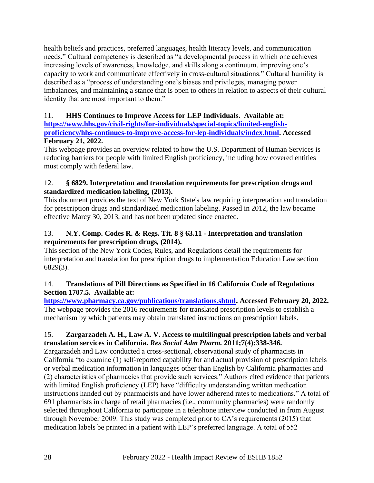health beliefs and practices, preferred languages, health literacy levels, and communication needs." Cultural competency is described as "a developmental process in which one achieves increasing levels of awareness, knowledge, and skills along a continuum, improving one's capacity to work and communicate effectively in cross-cultural situations." Cultural humility is described as a "process of understanding one's biases and privileges, managing power imbalances, and maintaining a stance that is open to others in relation to aspects of their cultural identity that are most important to them."

## 11. **HHS Continues to Improve Access for LEP Individuals. Available at:**

**[https://www.hhs.gov/civil-rights/for-individuals/special-topics/limited-english](https://www.hhs.gov/civil-rights/for-individuals/special-topics/limited-english-proficiency/hhs-continues-to-improve-access-for-lep-individuals/index.html)[proficiency/hhs-continues-to-improve-access-for-lep-individuals/index.html.](https://www.hhs.gov/civil-rights/for-individuals/special-topics/limited-english-proficiency/hhs-continues-to-improve-access-for-lep-individuals/index.html) Accessed February 21, 2022.**

This webpage provides an overview related to how the U.S. Department of Human Services is reducing barriers for people with limited English proficiency, including how covered entities must comply with federal law.

### 12. **§ 6829. Interpretation and translation requirements for prescription drugs and standardized medication labeling, (2013).**

This document provides the text of New York State's law requiring interpretation and translation for prescription drugs and standardized medication labeling. Passed in 2012, the law became effective Marcy 30, 2013, and has not been updated since enacted.

## 13. **N.Y. Comp. Codes R. & Regs. Tit. 8 § 63.11 - Interpretation and translation requirements for prescription drugs, (2014).**

This section of the New York Codes, Rules, and Regulations detail the requirements for interpretation and translation for prescription drugs to implementation Education Law section 6829(3).

## 14. **Translations of Pill Directions as Specified in 16 California Code of Regulations Section 1707.5. Available at:**

**[https://www.pharmacy.ca.gov/publications/translations.shtml.](https://www.pharmacy.ca.gov/publications/translations.shtml) Accessed February 20, 2022.** The webpage provides the 2016 requirements for translated prescription levels to establish a mechanism by which patients may obtain translated instructions on prescription labels.

## 15. **Zargarzadeh A. H., Law A. V. Access to multilingual prescription labels and verbal translation services in California.** *Res Social Adm Pharm.* **2011;7(4):338-346.**

Zargarzadeh and Law conducted a cross-sectional, observational study of pharmacists in California "to examine (1) self-reported capability for and actual provision of prescription labels or verbal medication information in languages other than English by California pharmacies and (2) characteristics of pharmacies that provide such services." Authors cited evidence that patients with limited English proficiency (LEP) have "difficulty understanding written medication instructions handed out by pharmacists and have lower adherend rates to medications." A total of 691 pharmacists in charge of retail pharmacies (i.e., community pharmacies) were randomly selected throughout California to participate in a telephone interview conducted in from August through November 2009. This study was completed prior to CA's requirements (2015) that medication labels be printed in a patient with LEP's preferred language. A total of 552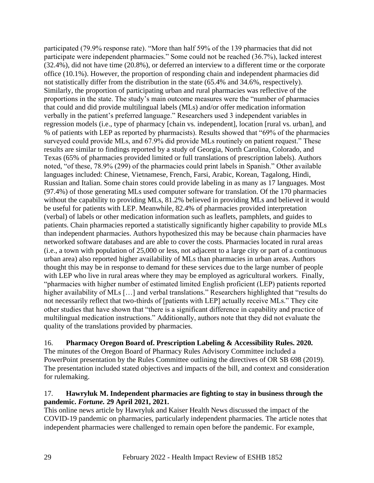participated (79.9% response rate). "More than half 59% of the 139 pharmacies that did not participate were independent pharmacies." Some could not be reached (36.7%), lacked interest (32.4%), did not have time (20.8%), or deferred an interview to a different time or the corporate office (10.1%). However, the proportion of responding chain and independent pharmacies did not statistically differ from the distribution in the state (65.4% and 34.6%, respectively). Similarly, the proportion of participating urban and rural pharmacies was reflective of the proportions in the state. The study's main outcome measures were the "number of pharmacies that could and did provide multilingual labels (MLs) and/or offer medication information verbally in the patient's preferred language." Researchers used 3 independent variables in regression models (i.e., type of pharmacy [chain vs. independent], location [rural vs. urban], and % of patients with LEP as reported by pharmacists). Results showed that "69% of the pharmacies surveyed could provide MLs, and 67.9% did provide MLs routinely on patient request." These results are similar to findings reported by a study of Georgia, North Carolina, Colorado, and Texas (65% of pharmacies provided limited or full translations of prescription labels). Authors noted, "of these, 78.9% (299) of the pharmacies could print labels in Spanish." Other available languages included: Chinese, Vietnamese, French, Farsi, Arabic, Korean, Tagalong, Hindi, Russian and Italian. Some chain stores could provide labeling in as many as 17 languages. Most (97.4%) of those generating MLs used computer software for translation. Of the 170 pharmacies without the capability to providing MLs, 81.2% believed in providing MLs and believed it would be useful for patients with LEP. Meanwhile, 82.4% of pharmacies provided interpretation (verbal) of labels or other medication information such as leaflets, pamphlets, and guides to patients. Chain pharmacies reported a statistically significantly higher capability to provide MLs than independent pharmacies. Authors hypothesized this may be because chain pharmacies have networked software databases and are able to cover the costs. Pharmacies located in rural areas (i.e., a town with population of 25,000 or less, not adjacent to a large city or part of a continuous urban area) also reported higher availability of MLs than pharmacies in urban areas. Authors thought this may be in response to demand for these services due to the large number of people with LEP who live in rural areas where they may be employed as agricultural workers. Finally, "pharmacies with higher number of estimated limited English proficient (LEP) patients reported higher availability of MLs [...] and verbal translations." Researchers highlighted that "results do not necessarily reflect that two-thirds of [patients with LEP] actually receive MLs." They cite other studies that have shown that "there is a significant difference in capability and practice of multilingual medication instructions." Additionally, authors note that they did not evaluate the quality of the translations provided by pharmacies.

#### 16. **Pharmacy Oregon Board of. Prescription Labeling & Accessibility Rules. 2020.**

The minutes of the Oregon Board of Pharmacy Rules Advisory Committee included a PowerPoint presentation by the Rules Committee outlining the directives of OR SB 698 (2019). The presentation included stated objectives and impacts of the bill, and context and consideration for rulemaking.

#### 17. **Hawryluk M. Independent pharmacies are fighting to stay in business through the pandemic.** *Fortune.* **29 April 2021, 2021.**

This online news article by Hawryluk and Kaiser Health News discussed the impact of the COVID-19 pandemic on pharmacies, particularly independent pharmacies. The article notes that independent pharmacies were challenged to remain open before the pandemic. For example,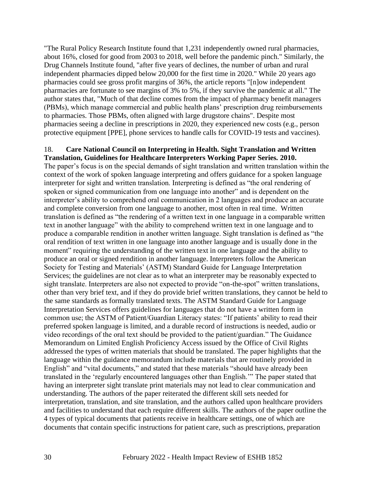"The Rural Policy Research Institute found that 1,231 independently owned rural pharmacies, about 16%, closed for good from 2003 to 2018, well before the pandemic pinch." Similarly, the Drug Channels Institute found, "after five years of declines, the number of urban and rural independent pharmacies dipped below 20,000 for the first time in 2020." While 20 years ago pharmacies could see gross profit margins of 36%, the article reports "[n]ow independent pharmacies are fortunate to see margins of 3% to 5%, if they survive the pandemic at all." The author states that, "Much of that decline comes from the impact of pharmacy benefit managers (PBMs), which manage commercial and public health plans' prescription drug reimbursements to pharmacies. Those PBMs, often aligned with large drugstore chains". Despite most pharmacies seeing a decline in prescriptions in 2020, they experienced new costs (e.g., person protective equipment [PPE], phone services to handle calls for COVID-19 tests and vaccines).

#### 18. **Care National Council on Interpreting in Health. Sight Translation and Written Translation, Guidelines for Healthcare Interpreters Working Paper Series***.* **2010.**

The paper's focus is on the special demands of sight translation and written translation within the context of the work of spoken language interpreting and offers guidance for a spoken language interpreter for sight and written translation. Interpreting is defined as "the oral rendering of spoken or signed communication from one language into another" and is dependent on the interpreter's ability to comprehend oral communication in 2 languages and produce an accurate and complete conversion from one language to another, most often in real time. Written translation is defined as "the rendering of a written text in one language in a comparable written text in another language" with the ability to comprehend written text in one language and to produce a comparable rendition in another written language. Sight translation is defined as "the oral rendition of text written in one language into another language and is usually done in the moment" requiring the understanding of the written text in one language and the ability to produce an oral or signed rendition in another language. Interpreters follow the American Society for Testing and Materials' (ASTM) Standard Guide for Language Interpretation Services; the guidelines are not clear as to what an interpreter may be reasonably expected to sight translate. Interpreters are also not expected to provide "on-the-spot" written translations, other than very brief text, and if they do provide brief written translations, they cannot be held to the same standards as formally translated texts. The ASTM Standard Guide for Language Interpretation Services offers guidelines for languages that do not have a written form in common use; the ASTM of Patient/Guardian Literacy states: "If patients' ability to read their preferred spoken language is limited, and a durable record of instructions is needed, audio or video recordings of the oral text should be provided to the patient/guardian." The Guidance Memorandum on Limited English Proficiency Access issued by the Office of Civil Rights addressed the types of written materials that should be translated. The paper highlights that the language within the guidance memorandum include materials that are routinely provided in English" and "vital documents," and stated that these materials "should have already been translated in the 'regularly encountered languages other than English.'" The paper stated that having an interpreter sight translate print materials may not lead to clear communication and understanding. The authors of the paper reiterated the different skill sets needed for interpretation, translation, and site translation, and the authors called upon healthcare providers and facilities to understand that each require different skills. The authors of the paper outline the 4 types of typical documents that patients receive in healthcare settings, one of which are documents that contain specific instructions for patient care, such as prescriptions, preparation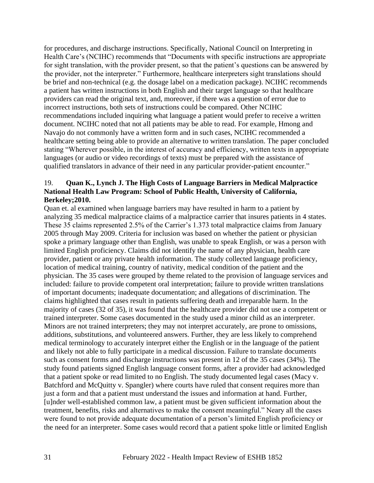for procedures, and discharge instructions. Specifically, National Council on Interpreting in Health Care's (NCIHC) recommends that "Documents with specific instructions are appropriate for sight translation, with the provider present, so that the patient's questions can be answered by the provider, not the interpreter." Furthermore, healthcare interpreters sight translations should be brief and non-technical (e.g. the dosage label on a medication package). NCIHC recommends a patient has written instructions in both English and their target language so that healthcare providers can read the original text, and, moreover, if there was a question of error due to incorrect instructions, both sets of instructions could be compared. Other NCIHC recommendations included inquiring what language a patient would prefer to receive a written document. NCIHC noted that not all patients may be able to read. For example, Hmong and Navajo do not commonly have a written form and in such cases, NCIHC recommended a healthcare setting being able to provide an alternative to written translation. The paper concluded stating "Wherever possible, in the interest of accuracy and efficiency, written texts in appropriate languages (or audio or video recordings of texts) must be prepared with the assistance of qualified translators in advance of their need in any particular provider-patient encounter."

#### 19. **Quan K., Lynch J. The High Costs of Language Barriers in Medical Malpractice National Health Law Program: School of Public Health, University of California, Berkeley;2010.**

Quan et. al examined when language barriers may have resulted in harm to a patient by analyzing 35 medical malpractice claims of a malpractice carrier that insures patients in 4 states. These 35 claims represented 2.5% of the Carrier's 1.373 total malpractice claims from January 2005 through May 2009. Criteria for inclusion was based on whether the patient or physician spoke a primary language other than English, was unable to speak English, or was a person with limited English proficiency. Claims did not identify the name of any physician, health care provider, patient or any private health information. The study collected language proficiency, location of medical training, country of nativity, medical condition of the patient and the physician. The 35 cases were grouped by theme related to the provision of language services and included: failure to provide competent oral interpretation; failure to provide written translations of important documents; inadequate documentation; and allegations of discrimination. The claims highlighted that cases result in patients suffering death and irreparable harm. In the majority of cases (32 of 35), it was found that the healthcare provider did not use a competent or trained interpreter. Some cases documented in the study used a minor child as an interpreter. Minors are not trained interpreters; they may not interpret accurately, are prone to omissions, additions, substitutions, and volunteered answers. Further, they are less likely to comprehend medical terminology to accurately interpret either the English or in the language of the patient and likely not able to fully participate in a medical discussion. Failure to translate documents such as consent forms and discharge instructions was present in 12 of the 35 cases (34%). The study found patients signed English language consent forms, after a provider had acknowledged that a patient spoke or read limited to no English. The study documented legal cases (Macy v. Batchford and McQuitty v. Spangler) where courts have ruled that consent requires more than just a form and that a patient must understand the issues and information at hand. Further, [u]nder well-established common law, a patient must be given sufficient information about the treatment, benefits, risks and alternatives to make the consent meaningful." Neary all the cases were found to not provide adequate documentation of a person's limited English proficiency or the need for an interpreter. Some cases would record that a patient spoke little or limited English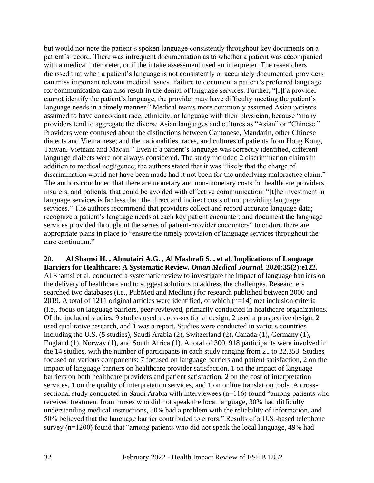but would not note the patient's spoken language consistently throughout key documents on a patient's record. There was infrequent documentation as to whether a patient was accompanied with a medical interpreter, or if the intake assessment used an interpreter. The researchers dicussed that when a patient's language is not consistently or accurately documented, providers can miss important relevant medical issues. Failure to document a patient's preferred language for communication can also result in the denial of language services. Further, "[i]f a provider cannot identify the patient's language, the provider may have difficulty meeting the patient's language needs in a timely manner." Medical teams more commonly assumed Asian patients assumed to have concordant race, ethnicity, or language with their physician, because "many providers tend to aggregate the diverse Asian languages and cultures as "Asian" or "Chinese." Providers were confused about the distinctions between Cantonese, Mandarin, other Chinese dialects and Vietnamese; and the nationalities, races, and cultures of patients from Hong Kong, Taiwan, Vietnam and Macau." Even if a patient's language was correctly identified, different language dialects were not always considered. The study included 2 discrimination claims in addition to medical negligence; the authors stated that it was "likely that the charge of discrimination would not have been made had it not been for the underlying malpractice claim." The authors concluded that there are monetary and non-monetary costs for healthcare providers, insurers, and patients, that could be avoided with effective communication: "[t]he investment in language services is far less than the direct and indirect costs of not providing language services." The authors recommend that providers collect and record accurate language data; recognize a patient's language needs at each key patient encounter; and document the language services provided throughout the series of patient-provider encounters" to endure there are appropriate plans in place to "ensure the timely provision of language services throughout the care continuum."

#### 20. **Al Shamsi H. , Almutairi A.G. , Al Mashrafi S. , et al. Implications of Language Barriers for Healthcare: A Systematic Review.** *Oman Medical Journal.* **2020;35(2):e122.**

Al Shamsi et al. conducted a systematic review to investigate the impact of language barriers on the delivery of healthcare and to suggest solutions to address the challenges. Researchers searched two databases (i.e., PubMed and Medline) for research published between 2000 and 2019. A total of 1211 original articles were identified, of which (n=14) met inclusion criteria (i.e., focus on language barriers, peer-reviewed, primarily conducted in healthcare organizations. Of the included studies, 9 studies used a cross-sectional design, 2 used a prospective design, 2 used qualitative research, and 1 was a report. Studies were conducted in various countries including the U.S. (5 studies), Saudi Arabia (2), Switzerland (2), Canada (1), Germany (1), England (1), Norway (1), and South Africa (1). A total of 300, 918 participants were involved in the 14 studies, with the number of participants in each study ranging from 21 to 22,353. Studies focused on various components: 7 focused on language barriers and patient satisfaction, 2 on the impact of language barriers on healthcare provider satisfaction, 1 on the impact of language barriers on both healthcare providers and patient satisfaction, 2 on the cost of interpretation services, 1 on the quality of interpretation services, and 1 on online translation tools. A crosssectional study conducted in Saudi Arabia with interviewees (n=116) found "among patients who received treatment from nurses who did not speak the local language, 30% had difficulty understanding medical instructions, 30% had a problem with the reliability of information, and 50% believed that the language barrier contributed to errors." Results of a U.S.-based telephone survey (n=1200) found that "among patients who did not speak the local language, 49% had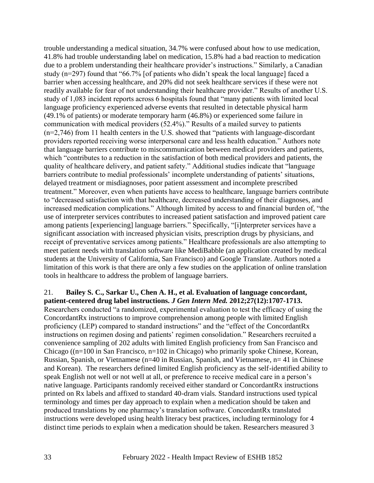trouble understanding a medical situation, 34.7% were confused about how to use medication, 41.8% had trouble understanding label on medication, 15.8% had a bad reaction to medication due to a problem understanding their healthcare provider's instructions." Similarly, a Canadian study (n=297) found that "66.7% [of patients who didn't speak the local language] faced a barrier when accessing healthcare, and 20% did not seek healthcare services if these were not readily available for fear of not understanding their healthcare provider." Results of another U.S. study of 1,083 incident reports across 6 hospitals found that "many patients with limited local language proficiency experienced adverse events that resulted in detectable physical harm (49.1% of patients) or moderate temporary harm (46.8%) or experienced some failure in communication with medical providers (52.4%)." Results of a mailed survey to patients (n=2,746) from 11 health centers in the U.S. showed that "patients with language-discordant providers reported receiving worse interpersonal care and less health education." Authors note that language barriers contribute to miscommunication between medical providers and patients, which "contributes to a reduction in the satisfaction of both medical providers and patients, the quality of healthcare delivery, and patient safety." Additional studies indicate that "language barriers contribute to medial professionals' incomplete understanding of patients' situations, delayed treatment or misdiagnoses, poor patient assessment and incomplete prescribed treatment." Moreover, even when patients have access to healthcare, language barriers contribute to "decreased satisfaction with that healthcare, decreased understanding of their diagnoses, and increased medication complications." Although limited by access to and financial burden of, "the use of interpreter services contributes to increased patient satisfaction and improved patient care among patients [experiencing] language barriers." Specifically, "[i]nterpreter services have a significant association with increased physician visits, prescription drugs by physicians, and receipt of preventative services among patients." Healthcare professionals are also attempting to meet patient needs with translation software like MediBabble (an application created by medical students at the University of California, San Francisco) and Google Translate. Authors noted a limitation of this work is that there are only a few studies on the application of online translation tools in healthcare to address the problem of language barriers.

# 21. **Bailey S. C., Sarkar U., Chen A. H., et al. Evaluation of language concordant,**

**patient-centered drug label instructions.** *J Gen Intern Med.* **2012;27(12):1707-1713.** Researchers conducted "a randomized, experimental evaluation to test the efficacy of using the ConcordantRx instructions to improve comprehension among people with limited English proficiency (LEP) compared to standard instructions" and the "effect of the ConcordantRx instructions on regimen dosing and patients' regimen consolidation." Researchers recruited a convenience sampling of 202 adults with limited English proficiency from San Francisco and Chicago ((n=100 in San Francisco, n=102 in Chicago) who primarily spoke Chinese, Korean, Russian, Spanish, or Vietnamese (n=40 in Russian, Spanish, and Vietnamese, n= 41 in Chinese and Korean). The researchers defined limited English proficiency as the self-identified ability to speak English not well or not well at all, or preference to receive medical care in a person's native language. Participants randomly received either standard or ConcordantRx instructions printed on Rx labels and affixed to standard 40-dram vials. Standard instructions used typical terminology and times per day approach to explain when a medication should be taken and produced translations by one pharmacy's translation software. ConcordantRx translated instructions were developed using health literacy best practices, including terminology for 4 distinct time periods to explain when a medication should be taken. Researchers measured 3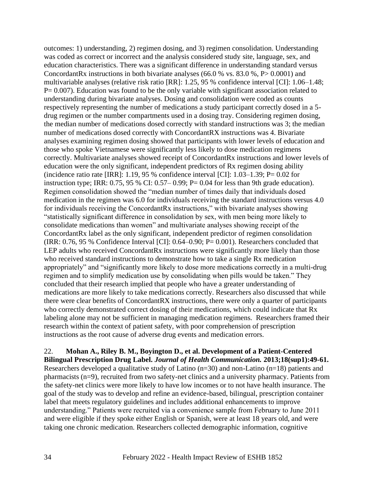outcomes: 1) understanding, 2) regimen dosing, and 3) regimen consolidation. Understanding was coded as correct or incorrect and the analysis considered study site, language, sex, and education characteristics. There was a significant difference in understanding standard versus ConcordantRx instructions in both bivariate analyses (66.0 % vs. 83.0 %, P> 0.0001) and multivariable analyses (relative risk ratio [RR]: 1.25, 95 % confidence interval [CI]: 1.06–1.48; P= 0.007). Education was found to be the only variable with significant association related to understanding during bivariate analyses. Dosing and consolidation were coded as counts respectively representing the number of medications a study participant correctly dosed in a 5 drug regimen or the number compartments used in a dosing tray. Considering regimen dosing, the median number of medications dosed correctly with standard instructions was 3; the median number of medications dosed correctly with ConcordantRX instructions was 4. Bivariate analyses examining regimen dosing showed that participants with lower levels of education and those who spoke Vietnamese were significantly less likely to dose medication regimens correctly. Multivariate analyses showed receipt of ConcordantRx instructions and lower levels of education were the only significant, independent predictors of Rx regimen dosing ability (incidence ratio rate [IRR]: 1.19, 95 % confidence interval [CI]:  $1.03-1.39$ ; P= 0.02 for instruction type; IRR:  $0.75$ , 95 % CI:  $0.57-0.99$ ; P= 0.04 for less than 9th grade education). Regimen consolidation showed the "median number of times daily that individuals dosed medication in the regimen was 6.0 for individuals receiving the standard instructions versus 4.0 for individuals receiving the ConcordantRx instructions," with bivariate analyses showing "statistically significant difference in consolidation by sex, with men being more likely to consolidate medications than women" and multivariate analyses showing receipt of the ConcordantRx label as the only significant, independent predictor of regimen consolidation (IRR:  $0.76$ , 95 % Confidence Interval [CI]:  $0.64-0.90$ ; P=  $0.001$ ). Researchers concluded that LEP adults who received ConcordantRx instructions were significantly more likely than those who received standard instructions to demonstrate how to take a single Rx medication appropriately" and "significantly more likely to dose more medications correctly in a multi-drug regimen and to simplify medication use by consolidating when pills would be taken." They concluded that their research implied that people who have a greater understanding of medications are more likely to take medications correctly. Researchers also discussed that while there were clear benefits of ConcordantRX instructions, there were only a quarter of participants who correctly demonstrated correct dosing of their medications, which could indicate that Rx labeling alone may not be sufficient in managing medication regimens. Researchers framed their research within the context of patient safety, with poor comprehension of prescription instructions as the root cause of adverse drug events and medication errors.

22. **Mohan A., Riley B. M., Boyington D., et al. Development of a Patient-Centered Bilingual Prescription Drug Label.** *Journal of Health Communication.* **2013;18(sup1):49-61.** Researchers developed a qualitative study of Latino (n=30) and non-Latino (n=18) patients and pharmacists (n=9), recruited from two safety-net clinics and a university pharmacy. Patients from the safety-net clinics were more likely to have low incomes or to not have health insurance. The goal of the study was to develop and refine an evidence-based, bilingual, prescription container label that meets regulatory guidelines and includes additional enhancements to improve understanding." Patients were recruited via a convenience sample from February to June 2011 and were eligible if they spoke either English or Spanish, were at least 18 years old, and were taking one chronic medication. Researchers collected demographic information, cognitive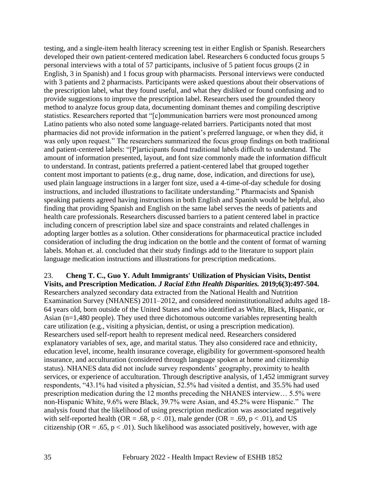testing, and a single-item health literacy screening test in either English or Spanish. Researchers developed their own patient-centered medication label. Researchers 6 conducted focus groups 5 personal interviews with a total of 57 participants, inclusive of 5 patient focus groups (2 in English, 3 in Spanish) and 1 focus group with pharmacists. Personal interviews were conducted with 3 patients and 2 pharmacists. Participants were asked questions about their observations of the prescription label, what they found useful, and what they disliked or found confusing and to provide suggestions to improve the prescription label. Researchers used the grounded theory method to analyze focus group data, documenting dominant themes and compiling descriptive statistics. Researchers reported that "[c]ommunication barriers were most pronounced among Latino patients who also noted some language-related barriers. Participants noted that most pharmacies did not provide information in the patient's preferred language, or when they did, it was only upon request." The researchers summarized the focus group findings on both traditional and patient-centered labels: "[P]articipants found traditional labels difficult to understand. The amount of information presented, layout, and font size commonly made the information difficult to understand. In contrast, patients preferred a patient-centered label that grouped together content most important to patients (e.g., drug name, dose, indication, and directions for use), used plain language instructions in a larger font size, used a 4-time-of-day schedule for dosing instructions, and included illustrations to facilitate understanding." Pharmacists and Spanish speaking patients agreed having instructions in both English and Spanish would be helpful, also finding that providing Spanish and English on the same label serves the needs of patients and health care professionals. Researchers discussed barriers to a patient centered label in practice including concern of prescription label size and space constraints and related challenges in adopting larger bottles as a solution. Other considerations for pharmaceutical practice included consideration of including the drug indication on the bottle and the content of format of warning labels. Mohan et. al. concluded that their study findings add to the literature to support plain language medication instructions and illustrations for prescription medications.

#### 23. **Cheng T. C., Guo Y. Adult Immigrants' Utilization of Physician Visits, Dentist Visits, and Prescription Medication.** *J Racial Ethn Health Disparities.* **2019;6(3):497-504.** Researchers analyzed secondary data extracted from the National Health and Nutrition Examination Survey (NHANES) 2011–2012, and considered noninstitutionalized adults aged 18- 64 years old, born outside of the United States and who identified as White, Black, Hispanic, or Asian (n=1,480 people). They used three dichotomous outcome variables representing health care utilization (e.g., visiting a physician, dentist, or using a prescription medication). Researchers used self-report health to represent medical need. Researchers considered explanatory variables of sex, age, and marital status. They also considered race and ethnicity, education level, income, health insurance coverage, eligibility for government-sponsored health insurance, and acculturation (considered through language spoken at home and citizenship status). NHANES data did not include survey respondents' geography, proximity to health services, or experience of acculturation. Through descriptive analysis, of 1,452 immigrant survey respondents, "43.1% had visited a physician, 52.5% had visited a dentist, and 35.5% had used prescription medication during the 12 months preceding the NHANES interview… 5.5% were non-Hispanic White, 9.6% were Black, 39.7% were Asian, and 45.2% were Hispanic." The analysis found that the likelihood of using prescription medication was associated negatively with self-reported health (OR = .68,  $p < .01$ ), male gender (OR = .69,  $p < .01$ ), and US citizenship (OR = .65,  $p < .01$ ). Such likelihood was associated positively, however, with age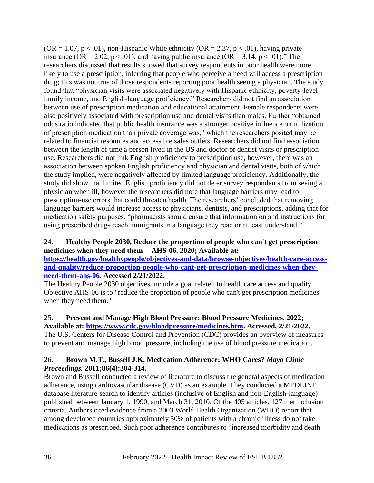$(OR = 1.07, p < .01)$ , non-Hispanic White ethnicity  $(OR = 2.37, p < .01)$ , having private insurance (OR = 2.02,  $p < .01$ ), and having public insurance (OR = 3.14,  $p < .01$ )." The researchers discussed that results showed that survey respondents in poor health were more likely to use a prescription, inferring that people who perceive a need will access a prescription drug; this was not true of those respondents reporting poor health seeing a physician. The study found that "physician visits were associated negatively with Hispanic ethnicity, poverty-level family income, and English-language proficiency." Researchers did not find an association between use of prescription medication and educational attainment. Female respondents were also positively associated with prescription use and dental visits than males. Further "obtained odds ratio indicated that public health insurance was a stronger positive influence on utilization of prescription medication than private coverage was," which the researchers posited may be related to financial resources and accessible sales outlets. Researchers did not find association between the length of time a person lived in the US and doctor or dentist visits or prescription use. Researchers did not link English proficiency to prescription use, however, there was an association between spoken English proficiency and physician and dental visits, both of which the study implied, were negatively affected by limited language proficiency. Additionally, the study did show that limited English proficiency did not deter survey respondents from seeing a physician when ill, however the researchers did note that language barriers may lead to prescription-use errors that could threaten health. The researchers' concluded that removing language barriers would increase access to physicians, dentists, and prescriptions, adding that for medication safety purposes, "pharmacists should ensure that information on and instructions for using prescribed drugs reach immigrants in a language they read or at least understand."

## 24. **Healthy People 2030, Reduce the proportion of people who can't get prescription medicines when they need them -- AHS-06. 2020; Available at:**

**[https://health.gov/healthypeople/objectives-and-data/browse-objectives/health-care-access](https://health.gov/healthypeople/objectives-and-data/browse-objectives/health-care-access-and-quality/reduce-proportion-people-who-cant-get-prescription-medicines-when-they-need-them-ahs-06)[and-quality/reduce-proportion-people-who-cant-get-prescription-medicines-when-they](https://health.gov/healthypeople/objectives-and-data/browse-objectives/health-care-access-and-quality/reduce-proportion-people-who-cant-get-prescription-medicines-when-they-need-them-ahs-06)[need-them-ahs-06.](https://health.gov/healthypeople/objectives-and-data/browse-objectives/health-care-access-and-quality/reduce-proportion-people-who-cant-get-prescription-medicines-when-they-need-them-ahs-06) Accessed 2/21/2022.**

The Healthy People 2030 objectives include a goal related to health care access and quality. Objective AHS-06 is to "reduce the proportion of people who can't get prescription medicines when they need them."

## 25. **Prevent and Manage High Blood Pressure: Blood Pressure Medicines. 2022;**

**Available at: [https://www.cdc.gov/bloodpressure/medicines.htm.](https://www.cdc.gov/bloodpressure/medicines.htm) Accessed, 2/21/2022.** The U.S. Centers for Disease Control and Prevention (CDC) provides an overview of measures

to prevent and manage high blood pressure, including the use of blood pressure medication.

#### 26. **Brown M.T., Bussell J.K. Medication Adherence: WHO Cares?** *Mayo Clinic Proceedings.* **2011;86(4):304-314.**

Brown and Bussell conducted a review of literature to discuss the general aspects of medication adherence, using cardiovascular disease (CVD) as an example. They conducted a MEDLINE database literature search to identify articles (inclusive of English and non-English-language) published between January 1, 1990, and March 31, 2010. Of the 405 articles, 127 met inclusion criteria. Authors cited evidence from a 2003 World Health Organization (WHO) report that among developed countries approximately 50% of patients with a chronic illness do not take medications as prescribed. Such poor adherence contributes to "increased morbidity and death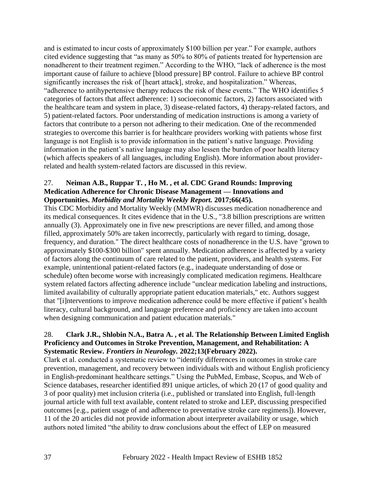and is estimated to incur costs of approximately \$100 billion per year." For example, authors cited evidence suggesting that "as many as 50% to 80% of patients treated for hypertension are nonadherent to their treatment regimen." According to the WHO, "lack of adherence is the most important cause of failure to achieve [blood pressure] BP control. Failure to achieve BP control significantly increases the risk of [heart attack], stroke, and hospitalization." Whereas, "adherence to antihypertensive therapy reduces the risk of these events." The WHO identifies 5 categories of factors that affect adherence: 1) socioeconomic factors, 2) factors associated with the healthcare team and system in place, 3) disease-related factors, 4) therapy-related factors, and 5) patient-related factors. Poor understanding of medication instructions is among a variety of factors that contribute to a person not adhering to their medication. One of the recommended strategies to overcome this barrier is for healthcare providers working with patients whose first language is not English is to provide information in the patient's native language. Providing information in the patient's native language may also lessen the burden of poor health literacy (which affects speakers of all languages, including English). More information about providerrelated and health system-related factors are discussed in this review.

## 27. **Neiman A.B., Ruppar T. , Ho M. , et al. CDC Grand Rounds: Improving Medication Adherence for Chronic Disease Management — Innovations and Opportunities.** *Morbidity and Mortality Weekly Report.* **2017;66(45).**

This CDC Morbidity and Mortality Weekly (MMWR) discusses medication nonadherence and its medical consequences. It cites evidence that in the U.S., "3.8 billion prescriptions are written annually (3). Approximately one in five new prescriptions are never filled, and among those filled, approximately 50% are taken incorrectly, particularly with regard to timing, dosage, frequency, and duration." The direct healthcare costs of nonadherence in the U.S. have "grown to approximately \$100-\$300 billion" spent annually. Medication adherence is affected by a variety of factors along the continuum of care related to the patient, providers, and health systems. For example, unintentional patient-related factors (e.g., inadequate understanding of dose or schedule) often become worse with increasingly complicated medication regimens. Healthcare system related factors affecting adherence include "unclear medication labeling and instructions, limited availability of culturally appropriate patient education materials," etc. Authors suggest that "[i]nterventions to improve medication adherence could be more effective if patient's health literacy, cultural background, and language preference and proficiency are taken into account when designing communication and patient education materials."

#### 28. **Clark J.R., Shlobin N.A., Batra A. , et al. The Relationship Between Limited English Proficiency and Outcomes in Stroke Prevention, Management, and Rehabilitation: A Systematic Review.** *Frontiers in Neurology.* **2022;13(February 2022).**

Clark et al. conducted a systematic review to "identify differences in outcomes in stroke care prevention, management, and recovery between individuals with and without English proficiency in English-predominant healthcare settings." Using the PubMed, Embase, Scopus, and Web of Science databases, researcher identified 891 unique articles, of which 20 (17 of good quality and 3 of poor quality) met inclusion criteria (i.e., published or translated into English, full-length journal article with full text available, content related to stroke and LEP, discussing prespecified outcomes [e.g., patient usage of and adherence to preventative stroke care regimens]). However, 11 of the 20 articles did not provide information about interpreter availability or usage, which authors noted limited "the ability to draw conclusions about the effect of LEP on measured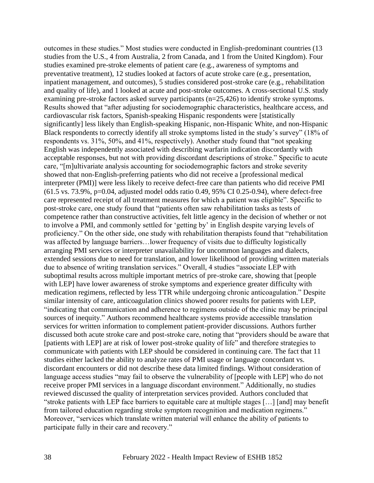outcomes in these studies." Most studies were conducted in English-predominant countries (13 studies from the U.S., 4 from Australia, 2 from Canada, and 1 from the United Kingdom). Four studies examined pre-stroke elements of patient care (e.g., awareness of symptoms and preventative treatment), 12 studies looked at factors of acute stroke care (e.g., presentation, inpatient management, and outcomes), 5 studies considered post-stroke care (e.g., rehabilitation and quality of life), and 1 looked at acute and post-stroke outcomes. A cross-sectional U.S. study examining pre-stroke factors asked survey participants (n=25,426) to identify stroke symptoms. Results showed that "after adjusting for sociodemographic characteristics, healthcare access, and cardiovascular risk factors, Spanish-speaking Hispanic respondents were [statistically significantly] less likely than English-speaking Hispanic, non-Hispanic White, and non-Hispanic Black respondents to correctly identify all stroke symptoms listed in the study's survey" (18% of respondents vs. 31%, 50%, and 41%, respectively). Another study found that "not speaking English was independently associated with describing warfarin indication discordantly with acceptable responses, but not with providing discordant descriptions of stroke." Specific to acute care, "[m]ultivariate analysis accounting for sociodemographic factors and stroke severity showed that non-English-preferring patients who did not receive a [professional medical interpreter (PMI)] were less likely to receive defect-free care than patients who did receive PMI  $(61.5 \text{ vs. } 73.9\%$ , p=0.04, adjusted model odds ratio 0.49, 95% CI 0.25-0.94), where defect-free care represented receipt of all treatment measures for which a patient was eligible". Specific to post-stroke care, one study found that "patients often saw rehabilitation tasks as tests of competence rather than constructive activities, felt little agency in the decision of whether or not to involve a PMI, and commonly settled for 'getting by' in English despite varying levels of proficiency." On the other side, one study with rehabilitation therapists found that "rehabilitation was affected by language barriers…lower frequency of visits due to difficulty logistically arranging PMI services or interpreter unavailability for uncommon languages and dialects, extended sessions due to need for translation, and lower likelihood of providing written materials due to absence of writing translation services." Overall, 4 studies "associate LEP with suboptimal results across multiple important metrics of pre-stroke care, showing that [people with LEP] have lower awareness of stroke symptoms and experience greater difficulty with medication regimens, reflected by less TTR while undergoing chronic anticoagulation." Despite similar intensity of care, anticoagulation clinics showed poorer results for patients with LEP, "indicating that communication and adherence to regimens outside of the clinic may be principal sources of inequity." Authors recommend healthcare systems provide accessible translation services for written information to complement patient-provider discussions. Authors further discussed both acute stroke care and post-stroke care, noting that "providers should be aware that [patients with LEP] are at risk of lower post-stroke quality of life" and therefore strategies to communicate with patients with LEP should be considered in continuing care. The fact that 11 studies either lacked the ability to analyze rates of PMI usage or language concordant vs. discordant encounters or did not describe these data limited findings. Without consideration of language access studies "may fail to observe the vulnerability of [people with LEP] who do not receive proper PMI services in a language discordant environment." Additionally, no studies reviewed discussed the quality of interpretation services provided. Authors concluded that "stroke patients with LEP face barriers to equitable care at multiple stages […] [and] may benefit from tailored education regarding stroke symptom recognition and medication regimens." Moreover, "services which translate written material will enhance the ability of patients to participate fully in their care and recovery."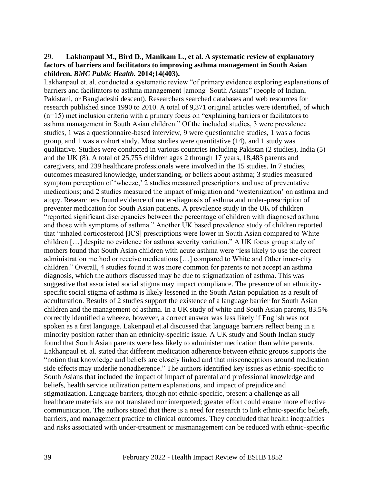#### 29. **Lakhanpaul M., Bird D., Manikam L., et al. A systematic review of explanatory factors of barriers and facilitators to improving asthma management in South Asian children.** *BMC Public Health.* **2014;14(403).**

Lakhanpaul et. al. conducted a systematic review "of primary evidence exploring explanations of barriers and facilitators to asthma management [among] South Asians" (people of Indian, Pakistani, or Bangladeshi descent). Researchers searched databases and web resources for research published since 1990 to 2010. A total of 9,371 original articles were identified, of which (n=15) met inclusion criteria with a primary focus on "explaining barriers or facilitators to asthma management in South Asian children." Of the included studies, 3 were prevalence studies, 1 was a questionnaire-based interview, 9 were questionnaire studies, 1 was a focus group, and 1 was a cohort study. Most studies were quantitative (14), and 1 study was qualitative. Studies were conducted in various countries including Pakistan (2 studies), India (5) and the UK (8). A total of 25,755 children ages 2 through 17 years, 18,483 parents and caregivers, and 239 healthcare professionals were involved in the 15 studies. In 7 studies, outcomes measured knowledge, understanding, or beliefs about asthma; 3 studies measured symptom perception of 'wheeze,' 2 studies measured prescriptions and use of preventative medications; and 2 studies measured the impact of migration and 'westernization' on asthma and atopy. Researchers found evidence of under-diagnosis of asthma and under-prescription of preventer medication for South Asian patients. A prevalence study in the UK of children "reported significant discrepancies between the percentage of children with diagnosed asthma and those with symptoms of asthma." Another UK based prevalence study of children reported that "inhaled corticosteroid [ICS] prescriptions were lower in South Asian compared to White children […] despite no evidence for asthma severity variation." A UK focus group study of mothers found that South Asian children with acute asthma were "less likely to use the correct administration method or receive medications […] compared to White and Other inner-city children." Overall, 4 studies found it was more common for parents to not accept an asthma diagnosis, which the authors discussed may be due to stigmatization of asthma. This was suggestive that associated social stigma may impact compliance. The presence of an ethnicityspecific social stigma of asthma is likely lessened in the South Asian population as a result of acculturation. Results of 2 studies support the existence of a language barrier for South Asian children and the management of asthma. In a UK study of white and South Asian parents, 83.5% correctly identified a wheeze, however, a correct answer was less likely if English was not spoken as a first language. Lakenpaul et.al discussed that language barriers reflect being in a minority position rather than an ethnicity-specific issue. A UK study and South Indian study found that South Asian parents were less likely to administer medication than white parents. Lakhanpaul et. al. stated that different medication adherence between ethnic groups supports the "notion that knowledge and beliefs are closely linked and that misconceptions around medication side effects may underlie nonadherence." The authors identified key issues as ethnic-specific to South Asians that included the impact of impact of parental and professional knowledge and beliefs, health service utilization pattern explanations, and impact of prejudice and stigmatization. Language barriers, though not ethnic-specific, present a challenge as all healthcare materials are not translated nor interpreted; greater effort could ensure more effective communication. The authors stated that there is a need for research to link ethnic-specific beliefs, barriers, and management practice to clinical outcomes. They concluded that health inequalities and risks associated with under-treatment or mismanagement can be reduced with ethnic-specific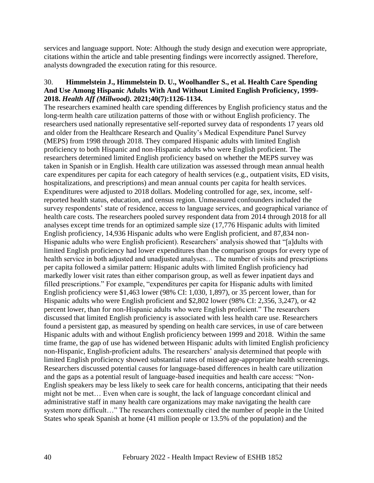services and language support. Note: Although the study design and execution were appropriate, citations within the article and table presenting findings were incorrectly assigned. Therefore, analysts downgraded the execution rating for this resource.

#### 30. **Himmelstein J., Himmelstein D. U., Woolhandler S., et al. Health Care Spending And Use Among Hispanic Adults With And Without Limited English Proficiency, 1999- 2018.** *Health Aff (Millwood).* **2021;40(7):1126-1134.**

The researchers examined health care spending differences by English proficiency status and the long-term health care utilization patterns of those with or without English proficiency. The researchers used nationally representative self-reported survey data of respondents 17 years old and older from the Healthcare Research and Quality's Medical Expenditure Panel Survey (MEPS) from 1998 through 2018. They compared Hispanic adults with limited English proficiency to both Hispanic and non-Hispanic adults who were English proficient. The researchers determined limited English proficiency based on whether the MEPS survey was taken in Spanish or in English. Health care utilization was assessed through mean annual health care expenditures per capita for each category of health services (e.g., outpatient visits, ED visits, hospitalizations, and prescriptions) and mean annual counts per capita for health services. Expenditures were adjusted to 2018 dollars. Modeling controlled for age, sex, income, selfreported health status, education, and census region. Unmeasured confounders included the survey respondents' state of residence, access to language services, and geographical variance of health care costs. The researchers pooled survey respondent data from 2014 through 2018 for all analyses except time trends for an optimized sample size (17,776 Hispanic adults with limited English proficiency, 14,936 Hispanic adults who were English proficient, and 87,834 non-Hispanic adults who were English proficient). Researchers' analysis showed that "[a]dults with limited English proficiency had lower expenditures than the comparison groups for every type of health service in both adjusted and unadjusted analyses… The number of visits and prescriptions per capita followed a similar pattern: Hispanic adults with limited English proficiency had markedly lower visit rates than either comparison group, as well as fewer inpatient days and filled prescriptions." For example, "expenditures per capita for Hispanic adults with limited English proficiency were \$1,463 lower (98% CI: 1,030, 1,897), or 35 percent lower, than for Hispanic adults who were English proficient and \$2,802 lower (98% CI: 2,356, 3,247), or 42 percent lower, than for non-Hispanic adults who were English proficient." The researchers discussed that limited English proficiency is associated with less health care use. Researchers found a persistent gap, as measured by spending on health care services, in use of care between Hispanic adults with and without English proficiency between 1999 and 2018. Within the same time frame, the gap of use has widened between Hispanic adults with limited English proficiency non-Hispanic, English-proficient adults. The researchers' analysis determined that people with limited English proficiency showed substantial rates of missed age-appropriate health screenings. Researchers discussed potential causes for language-based differences in health care utilization and the gaps as a potential result of language-based inequities and health care access: "Non-English speakers may be less likely to seek care for health concerns, anticipating that their needs might not be met… Even when care is sought, the lack of language concordant clinical and administrative staff in many health care organizations may make navigating the health care system more difficult…" The researchers contextually cited the number of people in the United States who speak Spanish at home (41 million people or 13.5% of the population) and the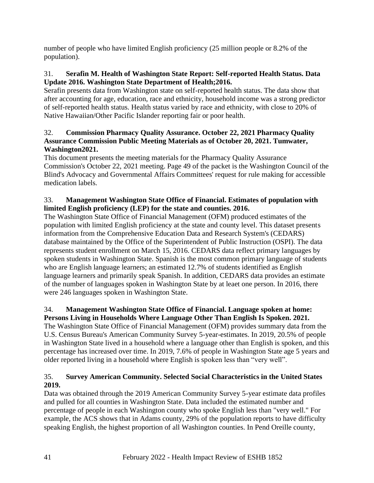number of people who have limited English proficiency (25 million people or 8.2% of the population).

## 31. **Serafin M. Health of Washington State Report: Self-reported Health Status. Data Update 2016. Washington State Department of Health;2016.**

Serafin presents data from Washington state on self-reported health status. The data show that after accounting for age, education, race and ethnicity, household income was a strong predictor of self-reported health status. Health status varied by race and ethnicity, with close to 20% of Native Hawaiian/Other Pacific Islander reporting fair or poor health.

## 32. **Commission Pharmacy Quality Assurance. October 22, 2021 Pharmacy Quality Assurance Commission Public Meeting Materials as of October 20, 2021. Tumwater, Washington2021.**

This document presents the meeting materials for the Pharmacy Quality Assurance Commission's October 22, 2021 meeting. Page 49 of the packet is the Washington Council of the Blind's Advocacy and Governmental Affairs Committees' request for rule making for accessible medication labels.

## 33. **Management Washington State Office of Financial. Estimates of population with limited English proficiency (LEP) for the state and counties. 2016.**

The Washington State Office of Financial Management (OFM) produced estimates of the population with limited English proficiency at the state and county level. This dataset presents information from the Comprehensive Education Data and Research System's (CEDARS) database maintained by the Office of the Superintendent of Public Instruction (OSPI). The data represents student enrollment on March 15, 2016. CEDARS data reflect primary languages by spoken students in Washington State. Spanish is the most common primary language of students who are English language learners; an estimated 12.7% of students identified as English language learners and primarily speak Spanish. In addition, CEDARS data provides an estimate of the number of languages spoken in Washington State by at leaet one person. In 2016, there were 246 languages spoken in Washington State.

## 34. **Management Washington State Office of Financial. Language spoken at home: Persons Living in Households Where Language Other Than English Is Spoken. 2021.**

The Washington State Office of Financial Management (OFM) provides summary data from the U.S. Census Bureau's American Community Survey 5-year-estimates. In 2019, 20.5% of people in Washington State lived in a household where a language other than English is spoken, and this percentage has increased over time. In 2019, 7.6% of people in Washington State age 5 years and older reported living in a household where English is spoken less than "very well".

## 35. **Survey American Community. Selected Social Characteristics in the United States 2019.**

Data was obtained through the 2019 American Community Survey 5-year estimate data profiles and pulled for all counties in Washington State. Data included the estimated number and percentage of people in each Washington county who spoke English less than "very well." For example, the ACS shows that in Adams county, 29% of the population reports to have difficulty speaking English, the highest proportion of all Washington counties. In Pend Oreille county,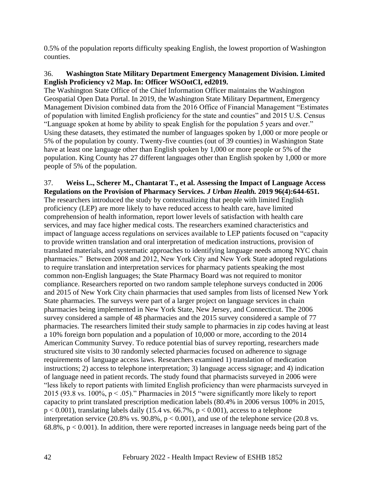0.5% of the population reports difficulty speaking English, the lowest proportion of Washington counties.

#### 36. **Washington State Military Department Emergency Management Division. Limited English Proficiency v2 Map. In: Officer WSOotCI, ed2019.**

The Washington State Office of the Chief Information Officer maintains the Washington Geospatial Open Data Portal. In 2019, the Washington State Military Department, Emergency Management Division combined data from the 2016 Office of Financial Management "Estimates of population with limited English proficiency for the state and counties" and 2015 U.S. Census "Language spoken at home by ability to speak English for the population 5 years and over." Using these datasets, they estimated the number of languages spoken by 1,000 or more people or 5% of the population by county. Twenty-five counties (out of 39 counties) in Washington State have at least one language other than English spoken by 1,000 or more people or 5% of the population. King County has 27 different languages other than English spoken by 1,000 or more people of 5% of the population.

#### 37. **Weiss L., Scherer M., Chantarat T., et al. Assessing the Impact of Language Access Regulations on the Provision of Pharmacy Services.** *J Urban Health.* **2019 96(4):644-651.** The researchers introduced the study by contextualizing that people with limited English proficiency (LEP) are more likely to have reduced access to health care, have limited comprehension of health information, report lower levels of satisfaction with health care services, and may face higher medical costs. The researchers examined characteristics and impact of language access regulations on services available to LEP patients focused on "capacity to provide written translation and oral interpretation of medication instructions, provision of translated materials, and systematic approaches to identifying language needs among NYC chain pharmacies." Between 2008 and 2012, New York City and New York State adopted regulations to require translation and interpretation services for pharmacy patients speaking the most common non-English languages; the State Pharmacy Board was not required to monitor compliance. Researchers reported on two random sample telephone surveys conducted in 2006 and 2015 of New York City chain pharmacies that used samples from lists of licensed New York State pharmacies. The surveys were part of a larger project on language services in chain pharmacies being implemented in New York State, New Jersey, and Connecticut. The 2006 survey considered a sample of 48 pharmacies and the 2015 survey considered a sample of 77 pharmacies. The researchers limited their study sample to pharmacies in zip codes having at least a 10% foreign born population and a population of 10,000 or more, according to the 2014 American Community Survey. To reduce potential bias of survey reporting, researchers made structured site visits to 30 randomly selected pharmacies focused on adherence to signage requirements of language access laws. Researchers examined 1) translation of medication instructions; 2) access to telephone interpretation; 3) language access signage; and 4) indication of language need in patient records. The study found that pharmacists surveyed in 2006 were "less likely to report patients with limited English proficiency than were pharmacists surveyed in 2015 (93.8 vs. 100%,  $p < .05$ )." Pharmacies in 2015 "were significantly more likely to report capacity to print translated prescription medication labels (80.4% in 2006 versus 100% in 2015,  $p < 0.001$ ), translating labels daily (15.4 vs. 66.7%,  $p < 0.001$ ), access to a telephone

interpretation service (20.8% vs. 90.8%,  $p < 0.001$ ), and use of the telephone service (20.8 vs. 68.8%,  $p < 0.001$ ). In addition, there were reported increases in language needs being part of the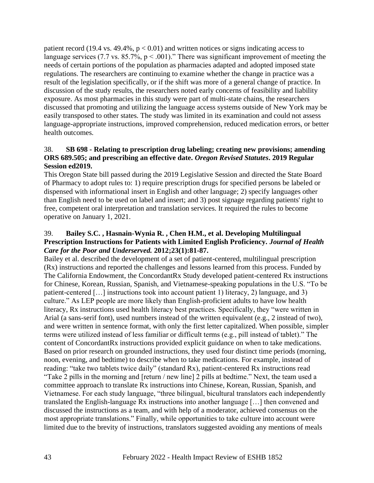patient record (19.4 vs. 49.4%,  $p < 0.01$ ) and written notices or signs indicating access to language services (7.7 vs.  $85.7\%$ , p < .001)." There was significant improvement of meeting the needs of certain portions of the population as pharmacies adapted and adopted imposed state regulations. The researchers are continuing to examine whether the change in practice was a result of the legislation specifically, or if the shift was more of a general change of practice. In discussion of the study results, the researchers noted early concerns of feasibility and liability exposure. As most pharmacies in this study were part of multi-state chains, the researchers discussed that promoting and utilizing the language access systems outside of New York may be easily transposed to other states. The study was limited in its examination and could not assess language-appropriate instructions, improved comprehension, reduced medication errors, or better health outcomes.

#### 38. **SB 698 - Relating to prescription drug labeling; creating new provisions; amending ORS 689.505; and prescribing an effective date.** *Oregon Revised Statutes***. 2019 Regular Session ed2019.**

This Oregon State bill passed during the 2019 Legislative Session and directed the State Board of Pharmacy to adopt rules to: 1) require prescription drugs for specified persons be labeled or dispensed with informational insert in English and other language; 2) specify languages other than English need to be used on label and insert; and 3) post signage regarding patients' right to free, competent oral interpretation and translation services. It required the rules to become operative on January 1, 2021.

#### 39. **Bailey S.C. , Hasnain-Wynia R. , Chen H.M., et al. Developing Multilingual Prescription Instructions for Patients with Limited English Proficiency.** *Journal of Health Care for the Poor and Underserved.* **2012;23(1):81-87.**

Bailey et al. described the development of a set of patient-centered, multilingual prescription (Rx) instructions and reported the challenges and lessons learned from this process. Funded by The California Endowment, the ConcordantRx Study developed patient-centered Rx instructions for Chinese, Korean, Russian, Spanish, and Vietnamese-speaking populations in the U.S. "To be patient-centered […] instructions took into account patient 1) literacy, 2) language, and 3) culture." As LEP people are more likely than English-proficient adults to have low health literacy, Rx instructions used health literacy best practices. Specifically, they "were written in Arial (a sans-serif font), used numbers instead of the written equivalent (e.g., 2 instead of two), and were written in sentence format, with only the first letter capitalized. When possible, simpler terms were utilized instead of less familiar or difficult terms (e.g., pill instead of tablet)." The content of ConcordantRx instructions provided explicit guidance on when to take medications. Based on prior research on grounded instructions, they used four distinct time periods (morning, noon, evening, and bedtime) to describe when to take medications. For example, instead of reading: "take two tablets twice daily" (standard Rx), patient-centered Rx instructions read "Take 2 pills in the morning and [return / new line] 2 pills at bedtime." Next, the team used a committee approach to translate Rx instructions into Chinese, Korean, Russian, Spanish, and Vietnamese. For each study language, "three bilingual, bicultural translators each independently translated the English-language Rx instructions into another language […] then convened and discussed the instructions as a team, and with help of a moderator, achieved consensus on the most appropriate translations." Finally, while opportunities to take culture into account were limited due to the brevity of instructions, translators suggested avoiding any mentions of meals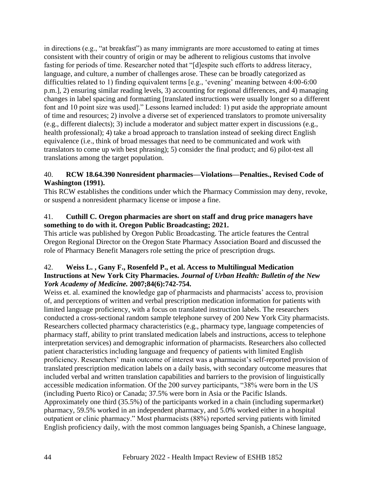in directions (e.g., "at breakfast") as many immigrants are more accustomed to eating at times consistent with their country of origin or may be adherent to religious customs that involve fasting for periods of time. Researcher noted that "[d]espite such efforts to address literacy, language, and culture, a number of challenges arose. These can be broadly categorized as difficulties related to 1) finding equivalent terms [e.g., 'evening' meaning between 4:00-6:00 p.m.], 2) ensuring similar reading levels, 3) accounting for regional differences, and 4) managing changes in label spacing and formatting [translated instructions were usually longer so a different font and 10 point size was used]." Lessons learned included: 1) put aside the appropriate amount of time and resources; 2) involve a diverse set of experienced translators to promote universality (e.g., different dialects); 3) include a moderator and subject matter expert in discussions (e.g., health professional); 4) take a broad approach to translation instead of seeking direct English equivalence (i.e., think of broad messages that need to be communicated and work with translators to come up with best phrasing); 5) consider the final product; and 6) pilot-test all translations among the target population.

#### 40. **RCW 18.64.390 Nonresident pharmacies—Violations—Penalties., Revised Code of Washington (1991).**

This RCW establishes the conditions under which the Pharmacy Commission may deny, revoke, or suspend a nonresident pharmacy license or impose a fine.

### 41. **Cuthill C. Oregon pharmacies are short on staff and drug price managers have something to do with it. Oregon Public Broadcasting; 2021.**

This article was published by Oregon Public Broadcasting. The article features the Central Oregon Regional Director on the Oregon State Pharmacy Association Board and discussed the role of Pharmacy Benefit Managers role setting the price of prescription drugs.

## 42. **Weiss L. , Gany F., Rosenfeld P., et al. Access to Multilingual Medication Instructions at New York City Pharmacies.** *Journal of Urban Health: Bulletin of the New York Academy of Medicine.* **2007;84(6):742-754.**

Weiss et. al. examined the knowledge gap of pharmacists and pharmacists' access to, provision of, and perceptions of written and verbal prescription medication information for patients with limited language proficiency, with a focus on translated instruction labels. The researchers conducted a cross-sectional random sample telephone survey of 200 New York City pharmacists. Researchers collected pharmacy characteristics (e.g., pharmacy type, language competencies of pharmacy staff, ability to print translated medication labels and instructions, access to telephone interpretation services) and demographic information of pharmacists. Researchers also collected patient characteristics including language and frequency of patients with limited English proficiency. Researchers' main outcome of interest was a pharmacist's self-reported provision of translated prescription medication labels on a daily basis, with secondary outcome measures that included verbal and written translation capabilities and barriers to the provision of linguistically accessible medication information. Of the 200 survey participants, "38% were born in the US (including Puerto Rico) or Canada; 37.5% were born in Asia or the Pacific Islands. Approximately one third (35.5%) of the participants worked in a chain (including supermarket) pharmacy, 59.5% worked in an independent pharmacy, and 5.0% worked either in a hospital outpatient or clinic pharmacy." Most pharmacists (88%) reported serving patients with limited English proficiency daily, with the most common languages being Spanish, a Chinese language,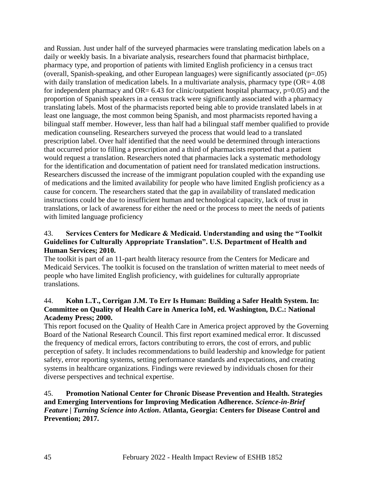and Russian. Just under half of the surveyed pharmacies were translating medication labels on a daily or weekly basis. In a bivariate analysis, researchers found that pharmacist birthplace, pharmacy type, and proportion of patients with limited English proficiency in a census tract (overall, Spanish-speaking, and other European languages) were significantly associated (p=.05) with daily translation of medication labels. In a multivariate analysis, pharmacy type (OR= 4.08) for independent pharmacy and  $OR = 6.43$  for clinic/outpatient hospital pharmacy,  $p=0.05$ ) and the proportion of Spanish speakers in a census track were significantly associated with a pharmacy translating labels. Most of the pharmacists reported being able to provide translated labels in at least one language, the most common being Spanish, and most pharmacists reported having a bilingual staff member. However, less than half had a bilingual staff member qualified to provide medication counseling. Researchers surveyed the process that would lead to a translated prescription label. Over half identified that the need would be determined through interactions that occurred prior to filling a prescription and a third of pharmacists reported that a patient would request a translation. Researchers noted that pharmacies lack a systematic methodology for the identification and documentation of patient need for translated medication instructions. Researchers discussed the increase of the immigrant population coupled with the expanding use of medications and the limited availability for people who have limited English proficiency as a cause for concern. The researchers stated that the gap in availability of translated medication instructions could be due to insufficient human and technological capacity, lack of trust in translations, or lack of awareness for either the need or the process to meet the needs of patients with limited language proficiency

#### 43. **Services Centers for Medicare & Medicaid. Understanding and using the "Toolkit Guidelines for Culturally Appropriate Translation". U.S. Department of Health and Human Services; 2010.**

The toolkit is part of an 11-part health literacy resource from the Centers for Medicare and Medicaid Services. The toolkit is focused on the translation of written material to meet needs of people who have limited English proficiency, with guidelines for culturally appropriate translations.

#### 44. **Kohn L.T., Corrigan J.M. To Err Is Human: Building a Safer Health System. In: Committee on Quality of Health Care in America IoM, ed. Washington, D.C.: National Academy Press; 2000.**

This report focused on the Quality of Health Care in America project approved by the Governing Board of the National Research Council. This first report examined medical error. It discussed the frequency of medical errors, factors contributing to errors, the cost of errors, and public perception of safety. It includes recommendations to build leadership and knowledge for patient safety, error reporting systems, setting performance standards and expectations, and creating systems in healthcare organizations. Findings were reviewed by individuals chosen for their diverse perspectives and technical expertise.

#### 45. **Promotion National Center for Chronic Disease Prevention and Health. Strategies and Emerging Interventions for Improving Medication Adherence.** *Science-in-Brief Feature | Turning Science into Action***. Atlanta, Georgia: Centers for Disease Control and Prevention; 2017.**